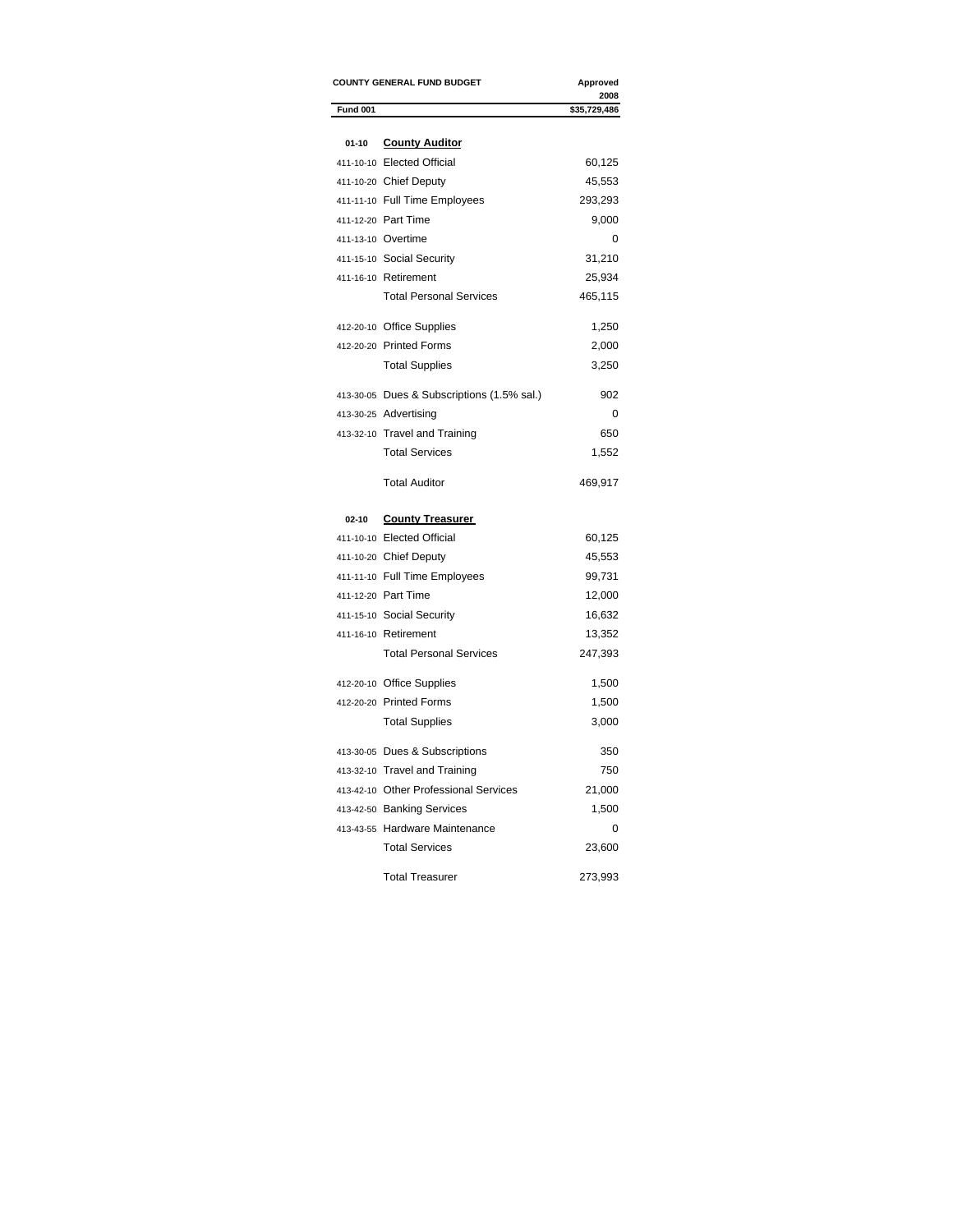|                 | <b>COUNTY GENERAL FUND BUDGET</b>          | Approved             |
|-----------------|--------------------------------------------|----------------------|
| <b>Fund 001</b> |                                            | 2008<br>\$35,729,486 |
|                 |                                            |                      |
| $01 - 10$       | <b>County Auditor</b>                      |                      |
|                 | 411-10-10 Elected Official                 | 60,125               |
|                 | 411-10-20 Chief Deputy                     | 45,553               |
|                 | 411-11-10 Full Time Employees              | 293,293              |
|                 | 411-12-20 Part Time                        | 9,000                |
|                 | 411-13-10 Overtime                         | 0                    |
|                 | 411-15-10 Social Security                  | 31,210               |
|                 | 411-16-10 Retirement                       | 25,934               |
|                 | <b>Total Personal Services</b>             | 465,115              |
|                 | 412-20-10 Office Supplies                  | 1,250                |
|                 | 412-20-20 Printed Forms                    | 2,000                |
|                 | <b>Total Supplies</b>                      | 3,250                |
|                 | 413-30-05 Dues & Subscriptions (1.5% sal.) | 902                  |
|                 | 413-30-25 Advertising                      | 0                    |
|                 | 413-32-10 Travel and Training              | 650                  |
|                 | <b>Total Services</b>                      | 1,552                |
|                 | <b>Total Auditor</b>                       | 469,917              |
| $02 - 10$       | <b>County Treasurer</b>                    |                      |
|                 | 411-10-10 Elected Official                 | 60,125               |
|                 | 411-10-20 Chief Deputy                     | 45,553               |
|                 | 411-11-10 Full Time Employees              | 99,731               |
|                 | 411-12-20 Part Time                        | 12,000               |
|                 | 411-15-10 Social Security                  | 16,632               |
|                 | 411-16-10 Retirement                       | 13,352               |
|                 | <b>Total Personal Services</b>             | 247,393              |
|                 | 412-20-10 Office Supplies                  | 1,500                |
|                 | 412-20-20 Printed Forms                    | 1,500                |
|                 | <b>Total Supplies</b>                      | 3,000                |
|                 | 413-30-05 Dues & Subscriptions             | 350                  |
|                 | 413-32-10 Travel and Training              | 750                  |
|                 | 413-42-10 Other Professional Services      | 21,000               |
|                 | 413-42-50 Banking Services                 | 1,500                |
|                 | 413-43-55 Hardware Maintenance             | 0                    |
|                 | <b>Total Services</b>                      | 23,600               |
|                 | <b>Total Treasurer</b>                     | 273,993              |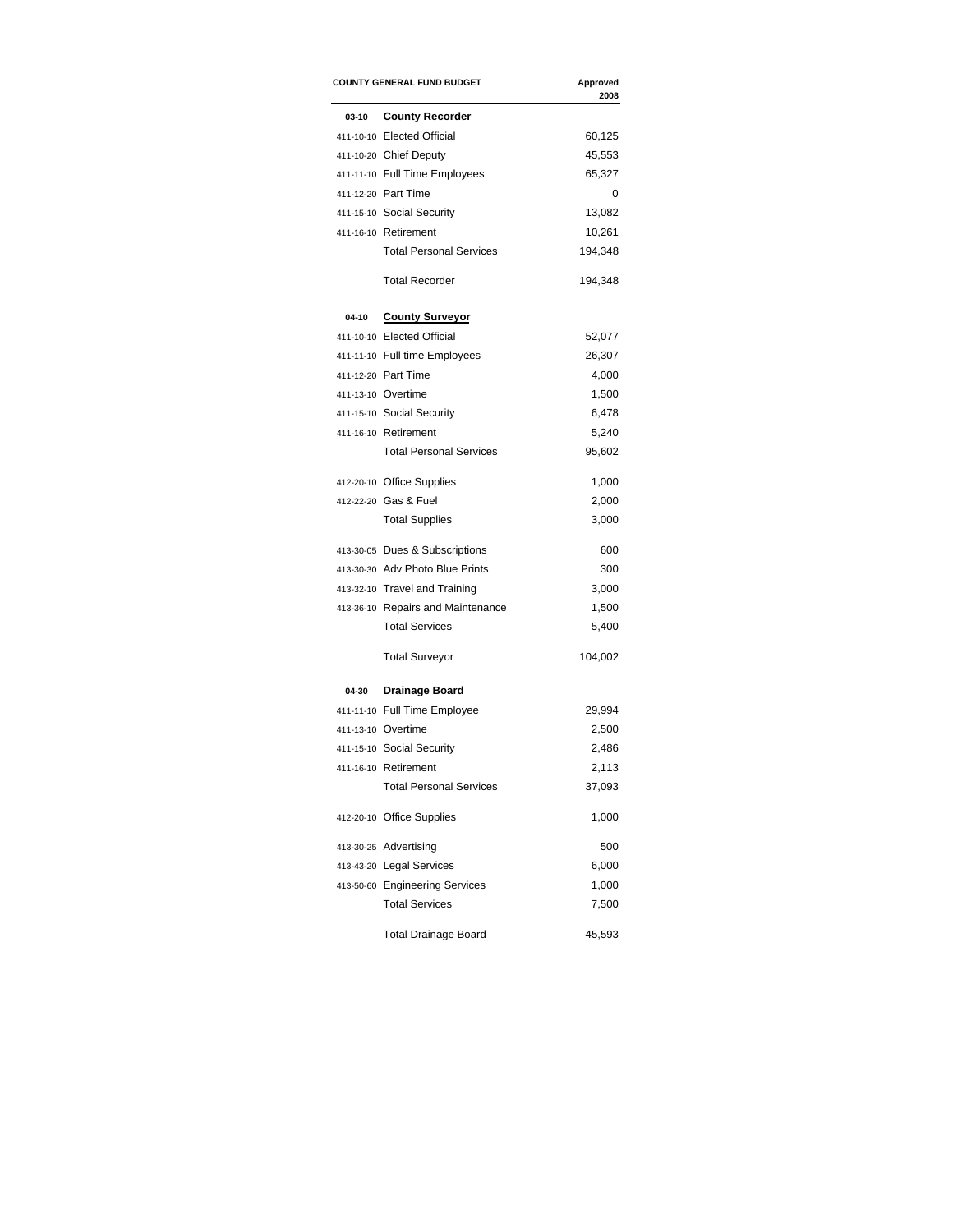|         | <b>COUNTY GENERAL FUND BUDGET</b> | Approved<br>2008 |
|---------|-----------------------------------|------------------|
| $03-10$ | <b>County Recorder</b>            |                  |
|         | 411-10-10 Elected Official        | 60,125           |
|         | 411-10-20 Chief Deputy            | 45,553           |
|         | 411-11-10 Full Time Employees     | 65,327           |
|         | 411-12-20 Part Time               | 0                |
|         | 411-15-10 Social Security         | 13,082           |
|         | 411-16-10 Retirement              | 10,261           |
|         | <b>Total Personal Services</b>    | 194,348          |
|         | <b>Total Recorder</b>             | 194,348          |
| 04-10   | <b>County Surveyor</b>            |                  |
|         | 411-10-10 Elected Official        | 52,077           |
|         | 411-11-10 Full time Employees     | 26,307           |
|         | 411-12-20 Part Time               | 4,000            |
|         | 411-13-10 Overtime                | 1,500            |
|         | 411-15-10 Social Security         | 6,478            |
|         | 411-16-10 Retirement              | 5,240            |
|         | <b>Total Personal Services</b>    | 95,602           |
|         | 412-20-10 Office Supplies         | 1,000            |
|         | 412-22-20 Gas & Fuel              | 2,000            |
|         | <b>Total Supplies</b>             | 3,000            |
|         | 413-30-05 Dues & Subscriptions    | 600              |
|         | 413-30-30 Adv Photo Blue Prints   | 300              |
|         | 413-32-10 Travel and Training     | 3,000            |
|         | 413-36-10 Repairs and Maintenance | 1,500            |
|         | <b>Total Services</b>             | 5,400            |
|         | <b>Total Surveyor</b>             | 104,002          |
| 04-30   | <b>Drainage Board</b>             |                  |
|         | 411-11-10 Full Time Employee      | 29,994           |
|         | 411-13-10 Overtime                | 2,500            |
|         | 411-15-10 Social Security         | 2,486            |
|         | 411-16-10 Retirement              | 2,113            |
|         | <b>Total Personal Services</b>    | 37,093           |
|         | 412-20-10 Office Supplies         | 1,000            |
|         | 413-30-25 Advertising             | 500              |
|         | 413-43-20 Legal Services          | 6,000            |
|         | 413-50-60 Engineering Services    | 1,000            |
|         | <b>Total Services</b>             | 7,500            |
|         | <b>Total Drainage Board</b>       | 45,593           |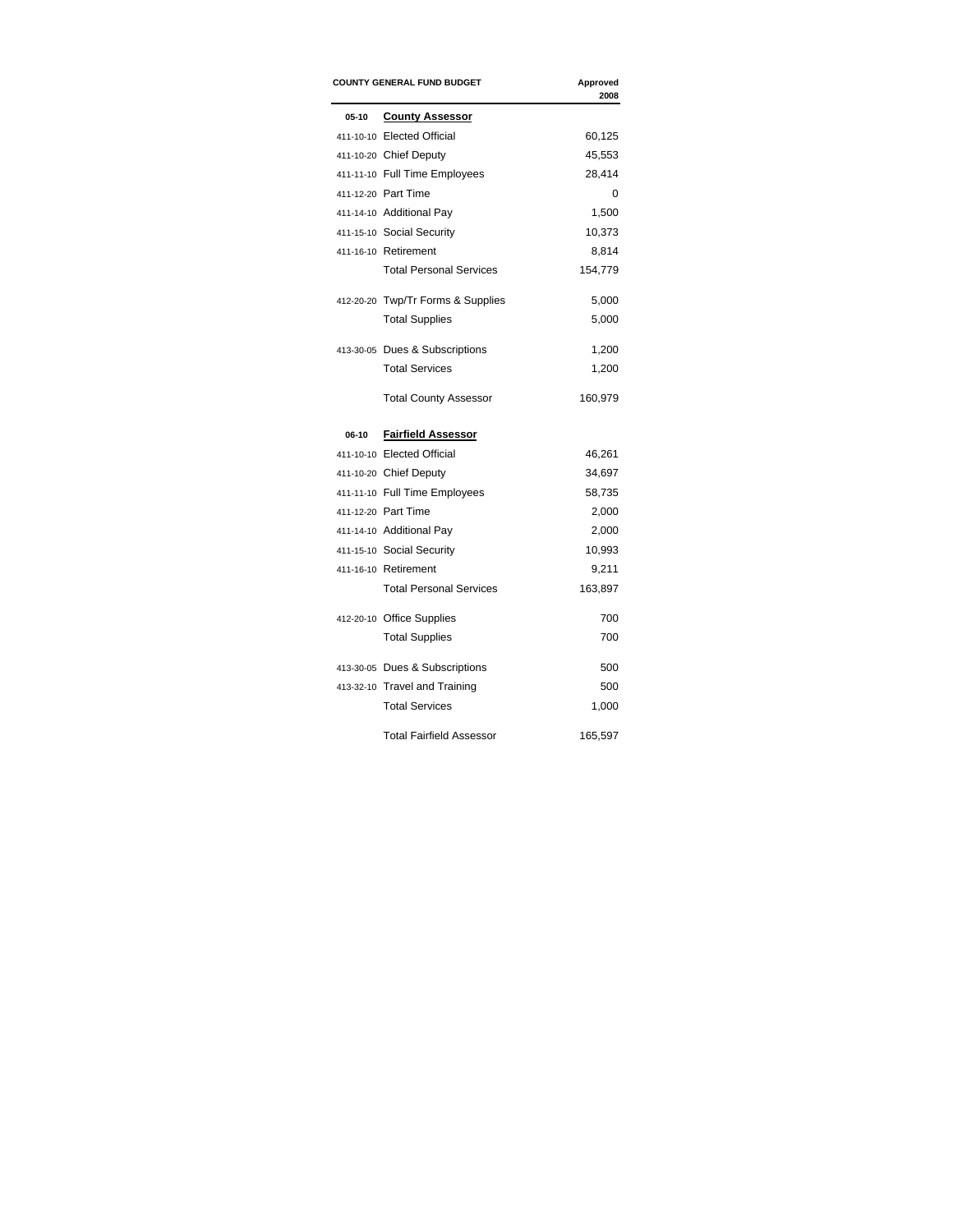|       | <b>COUNTY GENERAL FUND BUDGET</b> | Approved<br>2008 |
|-------|-----------------------------------|------------------|
| 05-10 | <b>County Assessor</b>            |                  |
|       | 411-10-10 Elected Official        | 60,125           |
|       | 411-10-20 Chief Deputy            | 45,553           |
|       | 411-11-10 Full Time Employees     | 28,414           |
|       | 411-12-20 Part Time               | 0                |
|       | 411-14-10 Additional Pay          | 1,500            |
|       | 411-15-10 Social Security         | 10,373           |
|       | 411-16-10 Retirement              | 8,814            |
|       | <b>Total Personal Services</b>    | 154,779          |
|       | 412-20-20 Twp/Tr Forms & Supplies | 5,000            |
|       | <b>Total Supplies</b>             | 5,000            |
|       | 413-30-05 Dues & Subscriptions    | 1,200            |
|       | <b>Total Services</b>             | 1,200            |
|       | <b>Total County Assessor</b>      | 160,979          |
| 06-10 | <b>Fairfield Assessor</b>         |                  |
|       | 411-10-10 Elected Official        | 46,261           |
|       | 411-10-20 Chief Deputy            | 34,697           |
|       | 411-11-10 Full Time Employees     | 58,735           |
|       | 411-12-20 Part Time               | 2,000            |
|       | 411-14-10 Additional Pay          | 2,000            |
|       | 411-15-10 Social Security         | 10,993           |
|       | 411-16-10 Retirement              | 9,211            |
|       | <b>Total Personal Services</b>    | 163,897          |
|       |                                   | 700              |
|       | 412-20-10 Office Supplies         |                  |
|       | <b>Total Supplies</b>             | 700              |
|       | 413-30-05 Dues & Subscriptions    |                  |
|       | 413-32-10 Travel and Training     | 500<br>500       |
|       | <b>Total Services</b>             | 1,000            |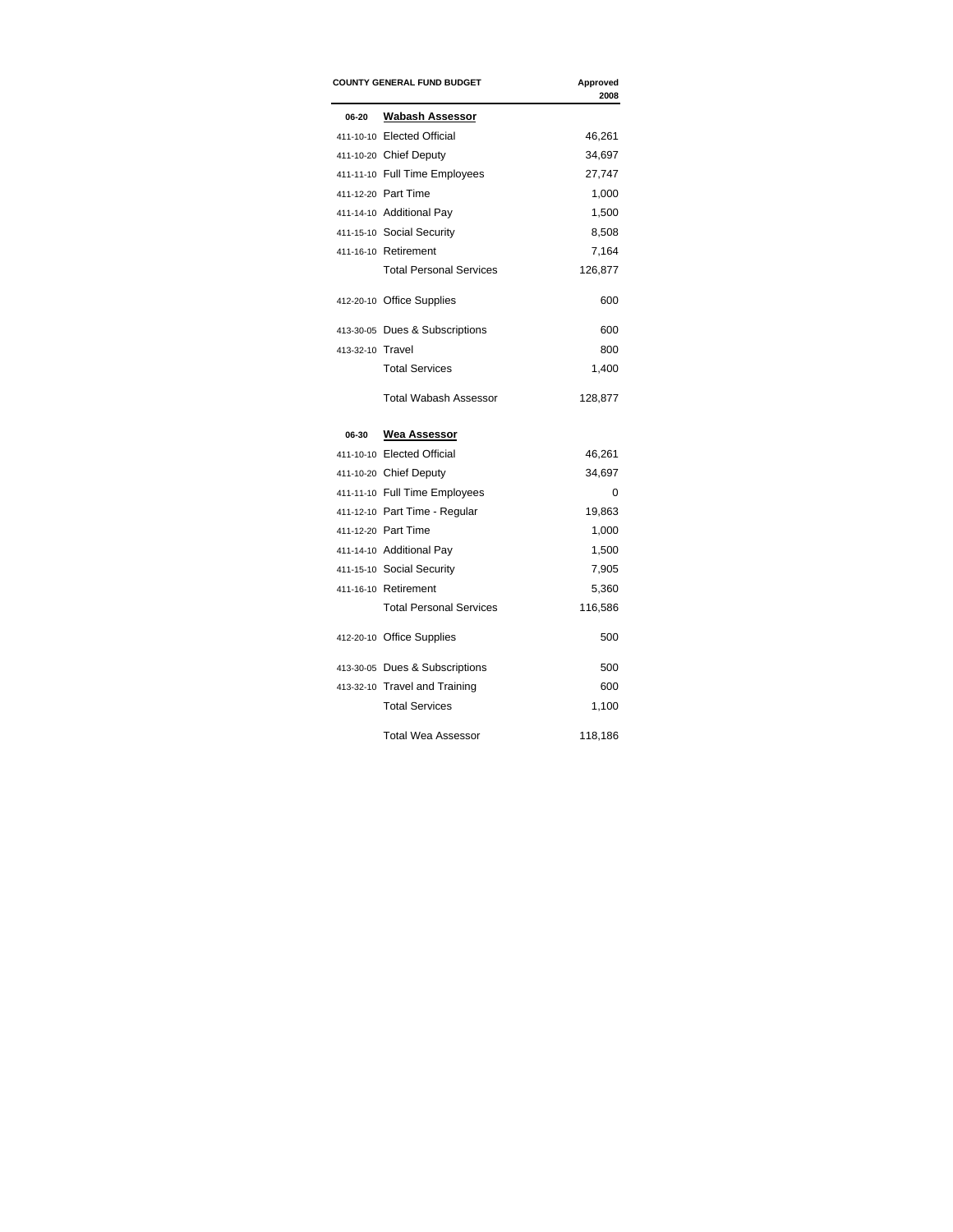|                  | <b>COUNTY GENERAL FUND BUDGET</b> | Approved<br>2008 |
|------------------|-----------------------------------|------------------|
| 06-20            | <b>Wabash Assessor</b>            |                  |
|                  | 411-10-10 Elected Official        | 46,261           |
|                  | 411-10-20 Chief Deputy            | 34,697           |
|                  | 411-11-10 Full Time Employees     | 27,747           |
|                  | 411-12-20 Part Time               | 1,000            |
|                  | 411-14-10 Additional Pay          | 1,500            |
|                  | 411-15-10 Social Security         | 8,508            |
|                  | 411-16-10 Retirement              | 7,164            |
|                  | <b>Total Personal Services</b>    | 126,877          |
|                  | 412-20-10 Office Supplies         | 600              |
|                  | 413-30-05 Dues & Subscriptions    | 600              |
| 413-32-10 Travel |                                   | 800              |
|                  | <b>Total Services</b>             | 1,400            |
|                  | <b>Total Wabash Assessor</b>      | 128,877          |
| 06-30            | <b>Wea Assessor</b>               |                  |
|                  | 411-10-10 Elected Official        | 46,261           |
|                  | 411-10-20 Chief Deputy            | 34,697           |
|                  | 411-11-10 Full Time Employees     | 0                |
|                  | 411-12-10 Part Time - Regular     | 19,863           |
|                  | 411-12-20 Part Time               | 1,000            |
|                  | 411-14-10 Additional Pay          | 1,500            |
|                  | 411-15-10 Social Security         | 7,905            |
|                  | 411-16-10 Retirement              | 5,360            |
|                  | <b>Total Personal Services</b>    | 116,586          |
|                  | 412-20-10 Office Supplies         | 500              |
|                  | 413-30-05 Dues & Subscriptions    | 500              |
|                  | 413-32-10 Travel and Training     | 600              |
|                  | <b>Total Services</b>             | 1,100            |
|                  | <b>Total Wea Assessor</b>         | 118,186          |
|                  |                                   |                  |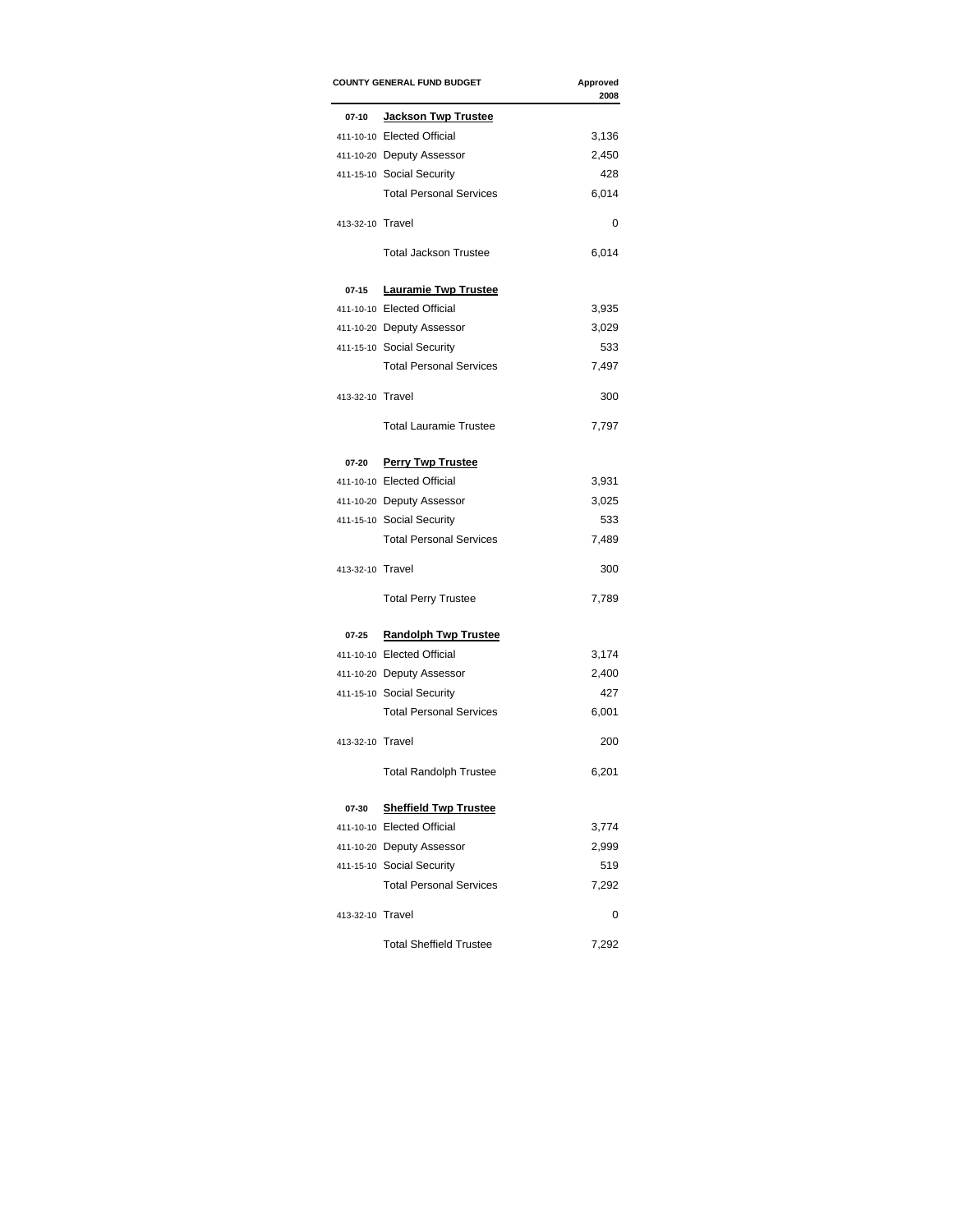|                  | <b>COUNTY GENERAL FUND BUDGET</b> | Approved<br>2008 |
|------------------|-----------------------------------|------------------|
| $07-10$          | <b>Jackson Twp Trustee</b>        |                  |
|                  | 411-10-10 Elected Official        | 3,136            |
|                  | 411-10-20 Deputy Assessor         | 2,450            |
|                  | 411-15-10 Social Security         | 428              |
|                  | <b>Total Personal Services</b>    | 6,014            |
| 413-32-10 Travel |                                   | 0                |
|                  | <b>Total Jackson Trustee</b>      | 6,014            |
| 07-15            | <b>Lauramie Twp Trustee</b>       |                  |
|                  | 411-10-10 Elected Official        | 3,935            |
|                  | 411-10-20 Deputy Assessor         | 3,029            |
|                  | 411-15-10 Social Security         | 533              |
|                  | <b>Total Personal Services</b>    | 7,497            |
| 413-32-10 Travel |                                   | 300              |
|                  | <b>Total Lauramie Trustee</b>     | 7,797            |
| 07-20            | <b>Perry Twp Trustee</b>          |                  |
|                  | 411-10-10 Elected Official        | 3,931            |
|                  | 411-10-20 Deputy Assessor         | 3,025            |
|                  | 411-15-10 Social Security         | 533              |
|                  | <b>Total Personal Services</b>    | 7,489            |
| 413-32-10 Travel |                                   | 300              |
|                  | <b>Total Perry Trustee</b>        | 7,789            |
| 07-25            | <b>Randolph Twp Trustee</b>       |                  |
|                  | 411-10-10 Elected Official        | 3,174            |
|                  | 411-10-20 Deputy Assessor         | 2,400            |
|                  | 411-15-10 Social Security         | 427              |
|                  | <b>Total Personal Services</b>    | 6,001            |
| 413-32-10 Travel |                                   | 200              |
|                  | <b>Total Randolph Trustee</b>     | 6,201            |
| 07-30            | <b>Sheffield Twp Trustee</b>      |                  |
|                  | 411-10-10 Elected Official        | 3,774            |
|                  | 411-10-20 Deputy Assessor         | 2,999            |
|                  | 411-15-10 Social Security         | 519              |
|                  | <b>Total Personal Services</b>    | 7,292            |
| 413-32-10 Travel |                                   | 0                |
|                  | <b>Total Sheffield Trustee</b>    | 7,292            |
|                  |                                   |                  |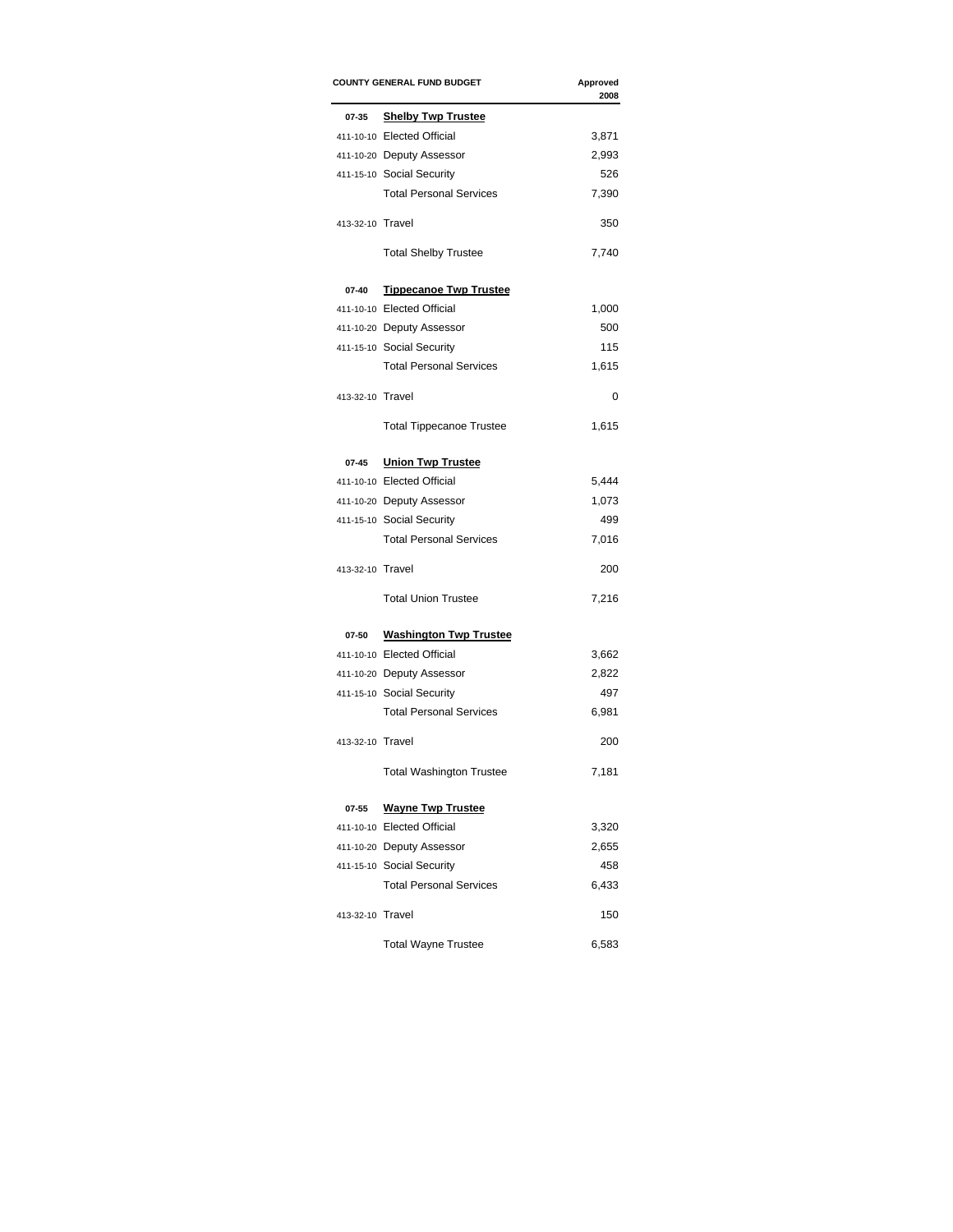|                  | <b>COUNTY GENERAL FUND BUDGET</b> | Approved<br>2008 |
|------------------|-----------------------------------|------------------|
| 07-35            | <b>Shelby Twp Trustee</b>         |                  |
|                  | 411-10-10 Elected Official        | 3,871            |
|                  | 411-10-20 Deputy Assessor         | 2,993            |
|                  | 411-15-10 Social Security         | 526              |
|                  | <b>Total Personal Services</b>    | 7,390            |
| 413-32-10 Travel |                                   | 350              |
|                  | <b>Total Shelby Trustee</b>       | 7,740            |
| 07-40            | <b>Tippecanoe Twp Trustee</b>     |                  |
|                  | 411-10-10 Elected Official        | 1,000            |
|                  | 411-10-20 Deputy Assessor         | 500              |
|                  | 411-15-10 Social Security         | 115              |
|                  | <b>Total Personal Services</b>    | 1,615            |
| 413-32-10 Travel |                                   | 0                |
|                  | <b>Total Tippecanoe Trustee</b>   | 1,615            |
| $07 - 45$        | <b>Union Twp Trustee</b>          |                  |
|                  | 411-10-10 Elected Official        | 5,444            |
|                  | 411-10-20 Deputy Assessor         | 1,073            |
|                  | 411-15-10 Social Security         | 499              |
|                  | <b>Total Personal Services</b>    | 7,016            |
| 413-32-10 Travel |                                   | 200              |
|                  | <b>Total Union Trustee</b>        | 7,216            |
| 07-50            | <b>Washington Twp Trustee</b>     |                  |
|                  | 411-10-10 Elected Official        | 3,662            |
|                  | 411-10-20 Deputy Assessor         | 2,822            |
|                  | 411-15-10 Social Security         | 497              |
|                  | <b>Total Personal Services</b>    | 6,981            |
| 413-32-10 Travel |                                   | 200              |
|                  | <b>Total Washington Trustee</b>   | 7,181            |
| 07-55            | <b>Wayne Twp Trustee</b>          |                  |
|                  | 411-10-10 Elected Official        | 3,320            |
|                  | 411-10-20 Deputy Assessor         | 2,655            |
|                  | 411-15-10 Social Security         | 458              |
|                  | <b>Total Personal Services</b>    | 6,433            |
| 413-32-10 Travel |                                   | 150              |
|                  | <b>Total Wayne Trustee</b>        | 6,583            |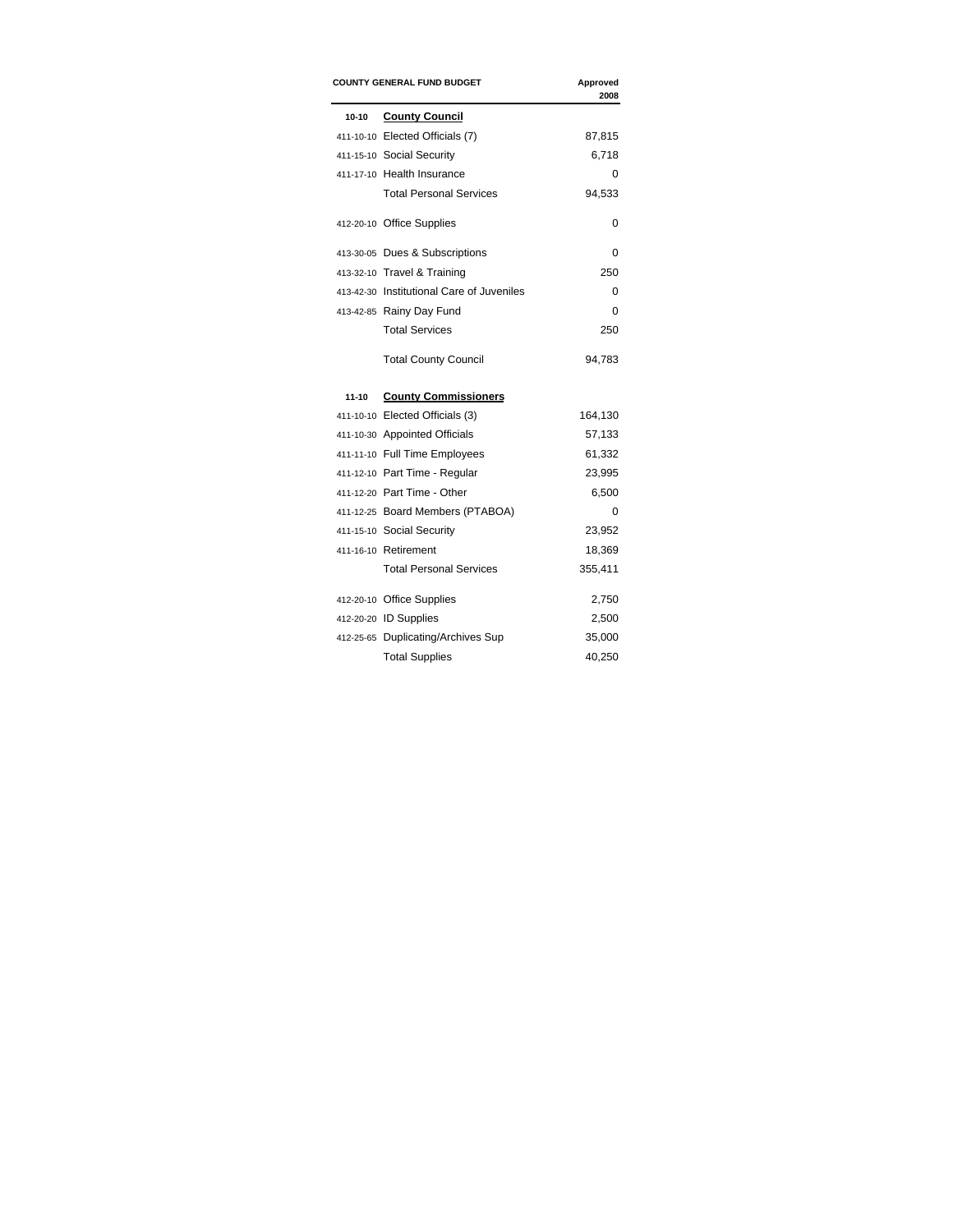| <b>COUNTY GENERAL FUND BUDGET</b><br>Approved<br>2008 |                                           |         |
|-------------------------------------------------------|-------------------------------------------|---------|
| $10 - 10$                                             | <b>County Council</b>                     |         |
|                                                       | 411-10-10 Elected Officials (7)           | 87,815  |
|                                                       | 411-15-10 Social Security                 | 6,718   |
|                                                       | 411-17-10 Health Insurance                | 0       |
|                                                       | <b>Total Personal Services</b>            | 94,533  |
|                                                       | 412-20-10 Office Supplies                 | 0       |
|                                                       | 413-30-05 Dues & Subscriptions            | 0       |
|                                                       | 413-32-10 Travel & Training               | 250     |
|                                                       | 413-42-30 Institutional Care of Juveniles | 0       |
|                                                       | 413-42-85 Rainy Day Fund                  | 0       |
|                                                       | <b>Total Services</b>                     | 250     |
|                                                       | <b>Total County Council</b>               | 94,783  |
| $11 - 10$                                             | <b>County Commissioners</b>               |         |
|                                                       | 411-10-10 Elected Officials (3)           | 164,130 |
|                                                       | 411-10-30 Appointed Officials             | 57,133  |
|                                                       | 411-11-10 Full Time Employees             | 61,332  |
|                                                       | 411-12-10 Part Time - Regular             | 23,995  |
|                                                       | 411-12-20 Part Time - Other               | 6,500   |
|                                                       | 411-12-25 Board Members (PTABOA)          | 0       |
|                                                       | 411-15-10 Social Security                 | 23,952  |
|                                                       | 411-16-10 Retirement                      | 18,369  |
|                                                       | <b>Total Personal Services</b>            | 355,411 |
|                                                       | 412-20-10 Office Supplies                 | 2,750   |
|                                                       | 412-20-20 ID Supplies                     | 2,500   |
|                                                       | 412-25-65 Duplicating/Archives Sup        | 35,000  |
|                                                       | <b>Total Supplies</b>                     | 40,250  |
|                                                       |                                           |         |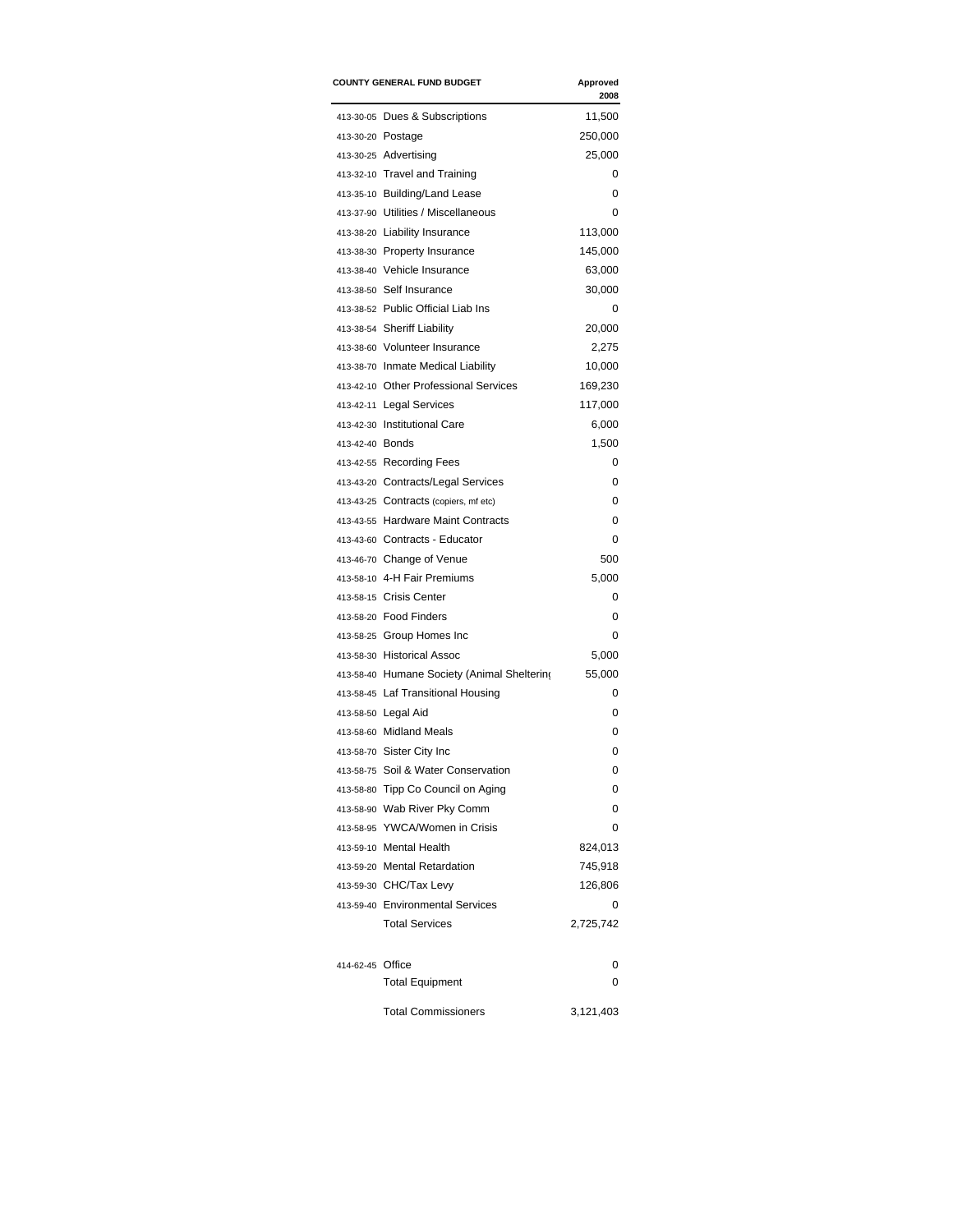|                  | <b>COUNTY GENERAL FUND BUDGET</b>           | Approved<br>2008 |
|------------------|---------------------------------------------|------------------|
|                  | 413-30-05 Dues & Subscriptions              | 11,500           |
|                  | 413-30-20 Postage                           | 250,000          |
|                  | 413-30-25 Advertising                       | 25,000           |
|                  | 413-32-10 Travel and Training               | 0                |
|                  | 413-35-10 Building/Land Lease               | 0                |
|                  | 413-37-90 Utilities / Miscellaneous         | 0                |
|                  | 413-38-20 Liability Insurance               | 113,000          |
|                  | 413-38-30 Property Insurance                | 145,000          |
|                  | 413-38-40 Vehicle Insurance                 | 63,000           |
|                  | 413-38-50 Self Insurance                    | 30,000           |
|                  | 413-38-52 Public Official Liab Ins          | 0                |
|                  | 413-38-54 Sheriff Liability                 | 20,000           |
|                  | 413-38-60 Volunteer Insurance               | 2,275            |
|                  | 413-38-70 Inmate Medical Liability          | 10,000           |
|                  | 413-42-10 Other Professional Services       | 169,230          |
|                  | 413-42-11 Legal Services                    | 117,000          |
|                  | 413-42-30 Institutional Care                | 6,000            |
| 413-42-40 Bonds  |                                             | 1,500            |
|                  |                                             | 0                |
|                  | 413-42-55 Recording Fees                    | 0                |
|                  | 413-43-20 Contracts/Legal Services          |                  |
|                  | 413-43-25 Contracts (copiers, mf etc)       | 0                |
|                  | 413-43-55 Hardware Maint Contracts          | 0                |
|                  | 413-43-60 Contracts - Educator              | 0                |
|                  | 413-46-70 Change of Venue                   | 500              |
|                  | 413-58-10 4-H Fair Premiums                 | 5,000            |
|                  | 413-58-15 Crisis Center                     | 0                |
|                  | 413-58-20 Food Finders                      | 0                |
|                  | 413-58-25 Group Homes Inc                   | 0                |
|                  | 413-58-30 Historical Assoc                  | 5,000            |
|                  | 413-58-40 Humane Society (Animal Sheltering | 55,000           |
|                  | 413-58-45 Laf Transitional Housing          | 0                |
|                  | 413-58-50 Legal Aid                         | 0                |
|                  | 413-58-60 Midland Meals                     | 0                |
|                  | 413-58-70 Sister City Inc                   | 0                |
|                  | 413-58-75 Soil & Water Conservation         | 0                |
|                  | 413-58-80 Tipp Co Council on Aging          | 0                |
|                  | 413-58-90 Wab River Pky Comm                | 0                |
|                  | 413-58-95 YWCA/Women in Crisis              | 0                |
|                  | 413-59-10 Mental Health                     | 824,013          |
|                  | 413-59-20 Mental Retardation                | 745,918          |
|                  | 413-59-30 CHC/Tax Levy                      | 126,806          |
|                  | 413-59-40 Environmental Services            | 0                |
|                  | <b>Total Services</b>                       | 2,725,742        |
|                  |                                             | 0                |
| 414-62-45 Office |                                             |                  |
|                  | <b>Total Equipment</b>                      | 0                |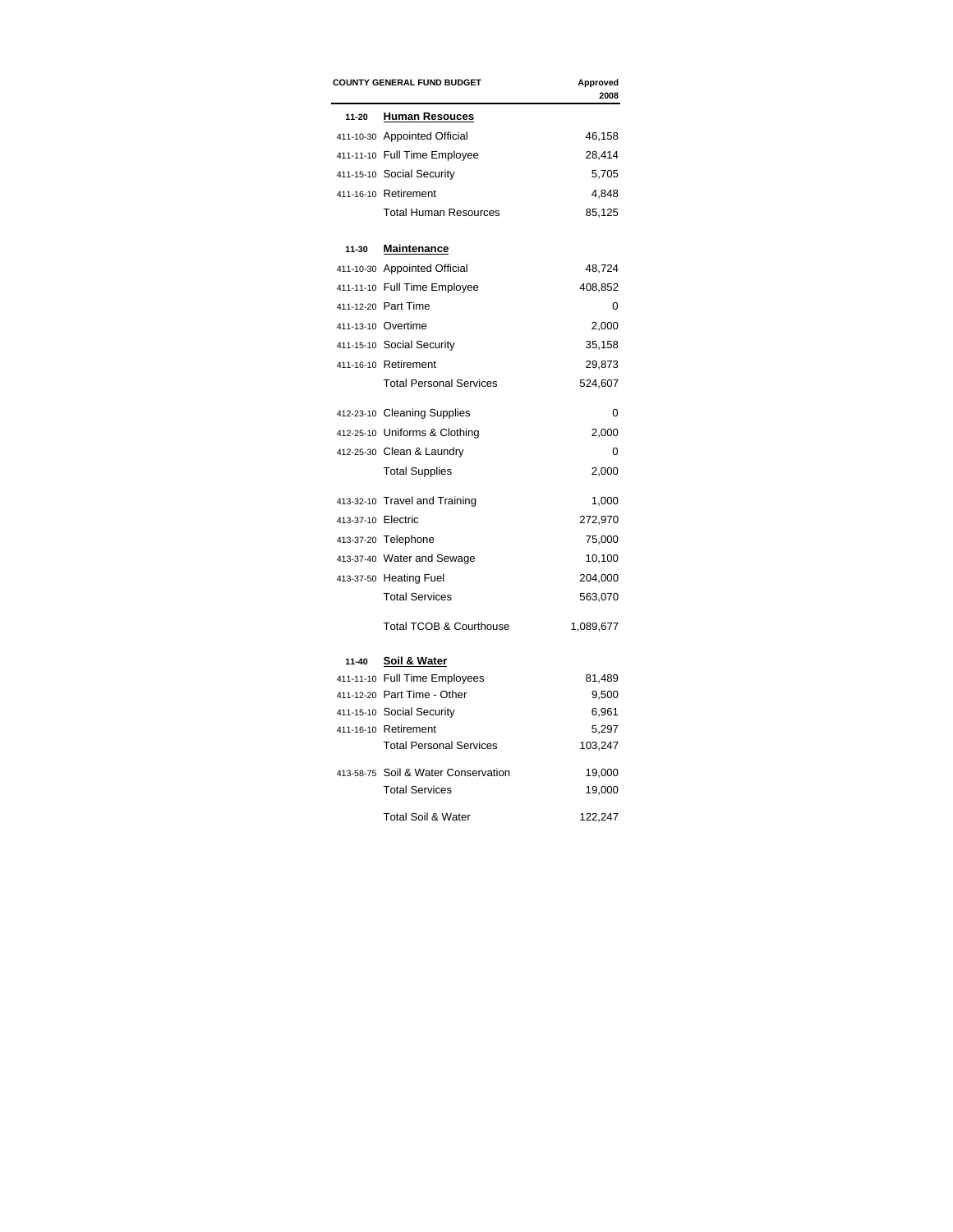| <b>COUNTY GENERAL FUND BUDGET</b> |                                     | Approved<br>2008 |  |
|-----------------------------------|-------------------------------------|------------------|--|
| 11-20                             | <b>Human Resouces</b>               |                  |  |
|                                   | 411-10-30 Appointed Official        | 46,158           |  |
|                                   | 411-11-10 Full Time Employee        | 28,414           |  |
|                                   | 411-15-10 Social Security           | 5,705            |  |
|                                   | 411-16-10 Retirement                | 4,848            |  |
|                                   | <b>Total Human Resources</b>        | 85,125           |  |
| 11-30                             | <b>Maintenance</b>                  |                  |  |
|                                   | 411-10-30 Appointed Official        | 48,724           |  |
|                                   | 411-11-10 Full Time Employee        | 408,852          |  |
|                                   | 411-12-20 Part Time                 | 0                |  |
|                                   | 411-13-10 Overtime                  | 2,000            |  |
|                                   | 411-15-10 Social Security           | 35,158           |  |
|                                   | 411-16-10 Retirement                | 29,873           |  |
|                                   | <b>Total Personal Services</b>      | 524,607          |  |
|                                   | 412-23-10 Cleaning Supplies         | 0                |  |
|                                   | 412-25-10 Uniforms & Clothing       | 2,000            |  |
|                                   | 412-25-30 Clean & Laundry           | 0                |  |
|                                   | <b>Total Supplies</b>               | 2,000            |  |
|                                   | 413-32-10 Travel and Training       | 1,000            |  |
| 413-37-10 Electric                |                                     | 272,970          |  |
|                                   | 413-37-20 Telephone                 | 75,000           |  |
|                                   | 413-37-40 Water and Sewage          | 10,100           |  |
|                                   | 413-37-50 Heating Fuel              | 204,000          |  |
|                                   | <b>Total Services</b>               | 563,070          |  |
|                                   | <b>Total TCOB &amp; Courthouse</b>  | 1,089,677        |  |
| 11-40                             | Soil & Water                        |                  |  |
|                                   | 411-11-10 Full Time Employees       | 81,489           |  |
|                                   | 411-12-20 Part Time - Other         | 9,500            |  |
|                                   | 411-15-10 Social Security           | 6,961            |  |
|                                   | 411-16-10 Retirement                | 5,297            |  |
|                                   | <b>Total Personal Services</b>      | 103,247          |  |
|                                   | 413-58-75 Soil & Water Conservation | 19,000           |  |
|                                   | <b>Total Services</b>               | 19,000           |  |
|                                   | Total Soil & Water                  | 122,247          |  |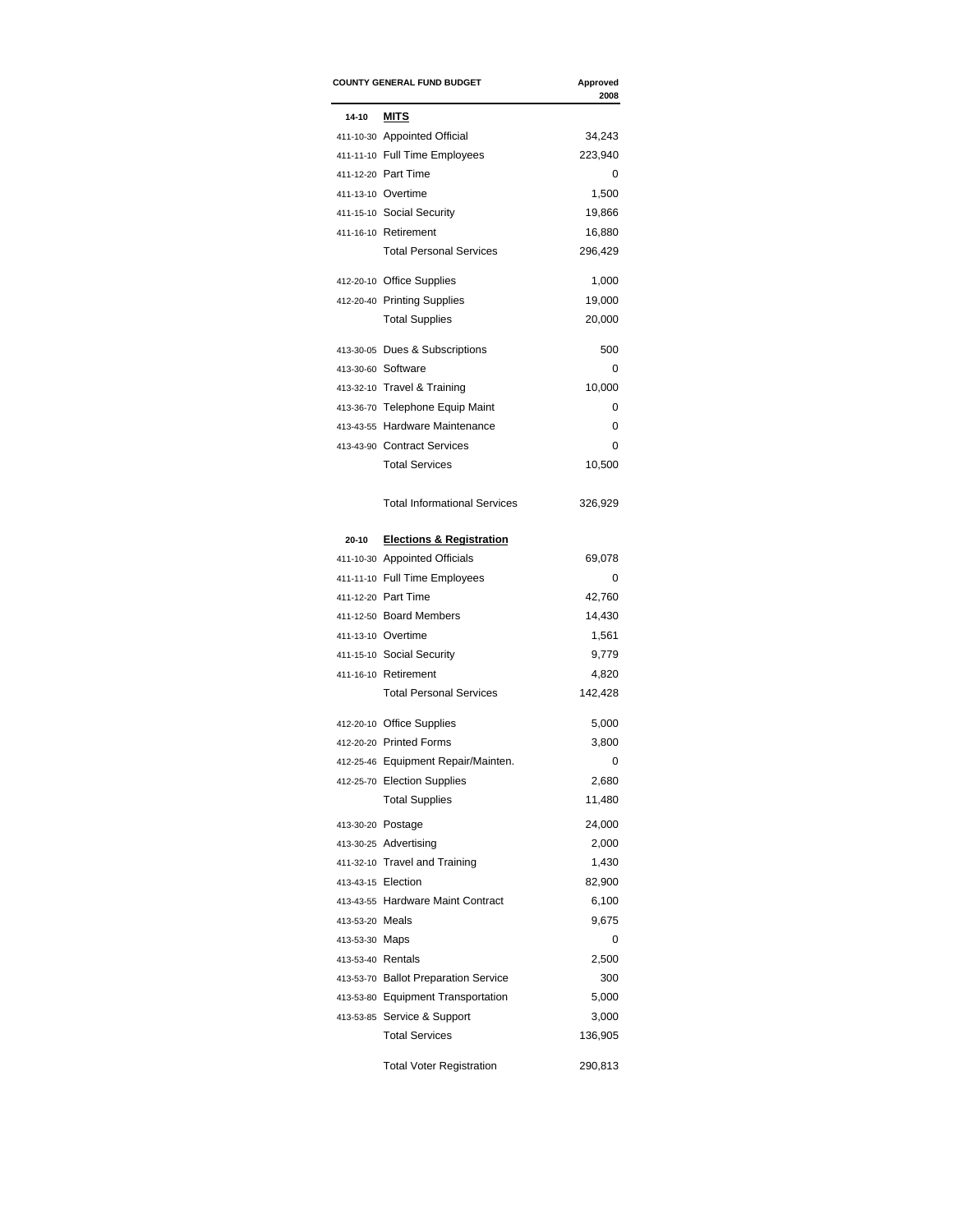| <b>COUNTY GENERAL FUND BUDGET</b> |                                      | Approved<br>2008 |  |
|-----------------------------------|--------------------------------------|------------------|--|
| $14 - 10$                         | MITS                                 |                  |  |
|                                   | 411-10-30 Appointed Official         | 34,243           |  |
|                                   | 411-11-10 Full Time Employees        | 223,940          |  |
|                                   | 411-12-20 Part Time                  | 0                |  |
|                                   | 411-13-10 Overtime                   | 1,500            |  |
|                                   | 411-15-10 Social Security            | 19,866           |  |
|                                   | 411-16-10 Retirement                 | 16,880           |  |
|                                   | <b>Total Personal Services</b>       | 296,429          |  |
|                                   | 412-20-10 Office Supplies            | 1,000            |  |
|                                   | 412-20-40 Printing Supplies          | 19,000           |  |
|                                   | <b>Total Supplies</b>                | 20,000           |  |
|                                   | 413-30-05 Dues & Subscriptions       | 500              |  |
|                                   | 413-30-60 Software                   | 0                |  |
|                                   | 413-32-10 Travel & Training          | 10,000           |  |
|                                   | 413-36-70 Telephone Equip Maint      | 0                |  |
|                                   | 413-43-55 Hardware Maintenance       | 0                |  |
|                                   | 413-43-90 Contract Services          | 0                |  |
|                                   | <b>Total Services</b>                | 10,500           |  |
|                                   | <b>Total Informational Services</b>  | 326,929          |  |
| 20-10                             | <b>Elections &amp; Registration</b>  |                  |  |
|                                   | 411-10-30 Appointed Officials        | 69,078           |  |
|                                   | 411-11-10 Full Time Employees        | 0                |  |
|                                   | 411-12-20 Part Time                  | 42,760           |  |
|                                   | 411-12-50 Board Members              | 14,430           |  |
|                                   | 411-13-10 Overtime                   | 1,561            |  |
|                                   | 411-15-10 Social Security            | 9,779            |  |
|                                   | 411-16-10 Retirement                 | 4,820            |  |
|                                   | <b>Total Personal Services</b>       | 142,428          |  |
|                                   | 412-20-10 Office Supplies            | 5,000            |  |
|                                   | 412-20-20 Printed Forms              | 3,800            |  |
|                                   | 412-25-46 Equipment Repair/Mainten.  | 0                |  |
|                                   | 412-25-70 Election Supplies          | 2,680            |  |
|                                   | <b>Total Supplies</b>                | 11,480           |  |
|                                   | 413-30-20 Postage                    | 24,000           |  |
|                                   | 413-30-25 Advertising                | 2,000            |  |
|                                   | 411-32-10 Travel and Training        | 1,430            |  |
| 413-43-15 Election                |                                      | 82,900           |  |
|                                   | 413-43-55 Hardware Maint Contract    | 6,100            |  |
| 413-53-20 Meals                   |                                      | 9,675            |  |
| 413-53-30 Maps                    |                                      | 0                |  |
| 413-53-40 Rentals                 |                                      | 2,500            |  |
|                                   | 413-53-70 Ballot Preparation Service | 300              |  |
|                                   | 413-53-80 Equipment Transportation   | 5,000            |  |
|                                   | 413-53-85 Service & Support          | 3,000            |  |
|                                   | <b>Total Services</b>                | 136,905          |  |
|                                   | <b>Total Voter Registration</b>      | 290,813          |  |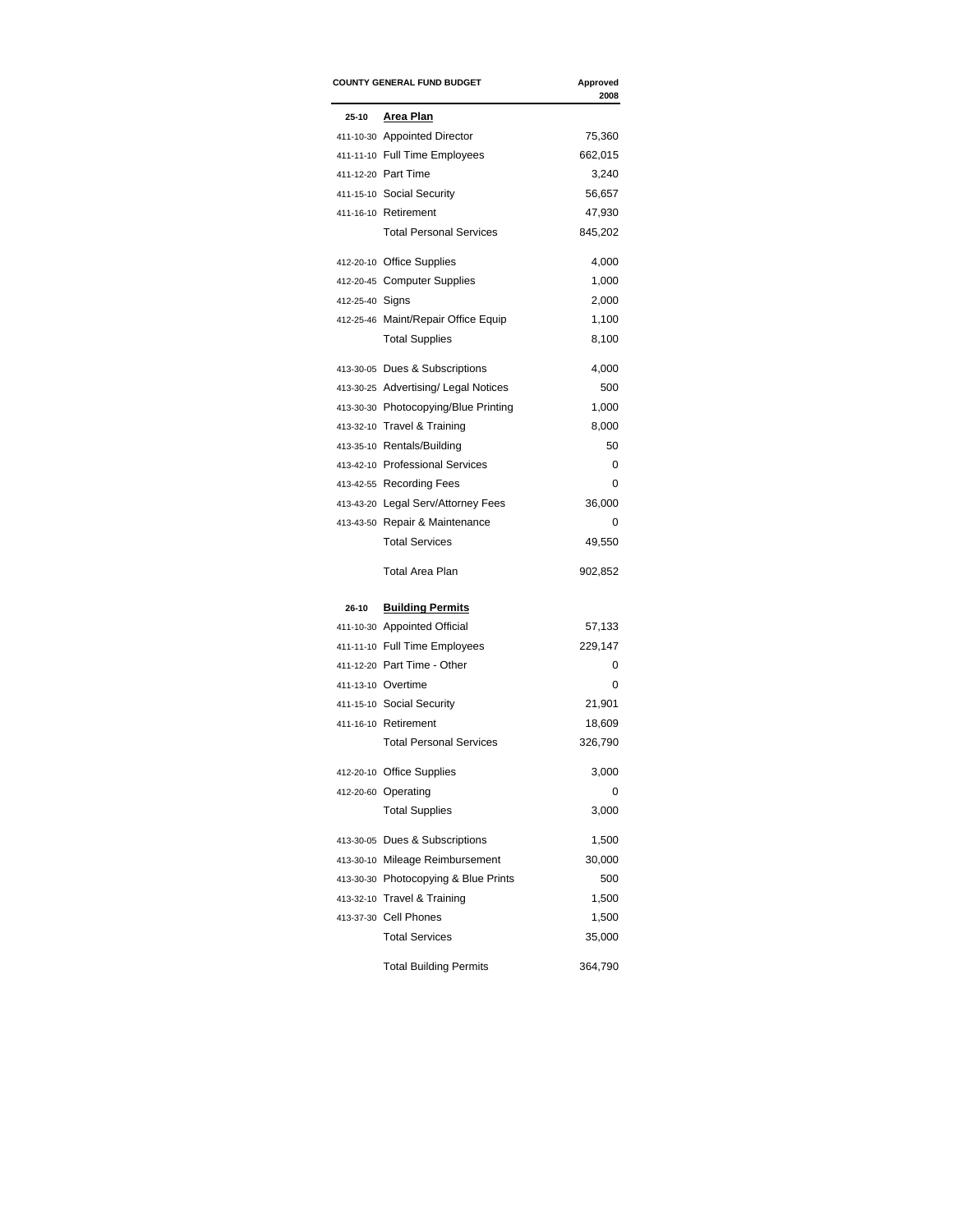| <b>COUNTY GENERAL FUND BUDGET</b> |                                      | Approved<br>2008 |  |
|-----------------------------------|--------------------------------------|------------------|--|
| 25-10                             | Area Plan                            |                  |  |
|                                   | 411-10-30 Appointed Director         | 75,360           |  |
|                                   | 411-11-10 Full Time Employees        | 662,015          |  |
|                                   | 411-12-20 Part Time                  | 3,240            |  |
|                                   | 411-15-10 Social Security            | 56,657           |  |
|                                   | 411-16-10 Retirement                 | 47,930           |  |
|                                   | <b>Total Personal Services</b>       | 845,202          |  |
|                                   | 412-20-10 Office Supplies            | 4,000            |  |
|                                   | 412-20-45 Computer Supplies          | 1,000            |  |
| 412-25-40 Signs                   |                                      | 2,000            |  |
|                                   | 412-25-46 Maint/Repair Office Equip  | 1,100            |  |
|                                   | <b>Total Supplies</b>                | 8,100            |  |
|                                   | 413-30-05 Dues & Subscriptions       | 4,000            |  |
|                                   | 413-30-25 Advertising/ Legal Notices | 500              |  |
|                                   | 413-30-30 Photocopying/Blue Printing | 1,000            |  |
|                                   | 413-32-10 Travel & Training          | 8,000            |  |
|                                   | 413-35-10 Rentals/Building           | 50               |  |
|                                   | 413-42-10 Professional Services      | 0                |  |
|                                   | 413-42-55 Recording Fees             | 0                |  |
|                                   | 413-43-20 Legal Serv/Attorney Fees   | 36,000           |  |
|                                   | 413-43-50 Repair & Maintenance       | 0                |  |
|                                   | <b>Total Services</b>                | 49,550           |  |
|                                   | <b>Total Area Plan</b>               | 902,852          |  |
| 26-10                             | <b>Building Permits</b>              |                  |  |
|                                   | 411-10-30 Appointed Official         | 57,133           |  |
|                                   | 411-11-10 Full Time Employees        | 229,147          |  |
|                                   | 411-12-20 Part Time - Other          | 0                |  |
|                                   | 411-13-10 Overtime                   | 0                |  |
|                                   | 411-15-10 Social Security            | 21,901           |  |
|                                   | 411-16-10 Retirement                 | 18,609           |  |
|                                   | <b>Total Personal Services</b>       | 326,790          |  |
|                                   | 412-20-10 Office Supplies            | 3,000            |  |
|                                   | 412-20-60 Operating                  | 0                |  |
|                                   | <b>Total Supplies</b>                | 3,000            |  |
|                                   | 413-30-05 Dues & Subscriptions       | 1,500            |  |
|                                   | 413-30-10 Mileage Reimbursement      | 30,000           |  |
|                                   | 413-30-30 Photocopying & Blue Prints | 500              |  |
|                                   | 413-32-10 Travel & Training          | 1,500            |  |
|                                   | 413-37-30 Cell Phones                | 1,500            |  |
|                                   | <b>Total Services</b>                | 35,000           |  |
|                                   | <b>Total Building Permits</b>        | 364,790          |  |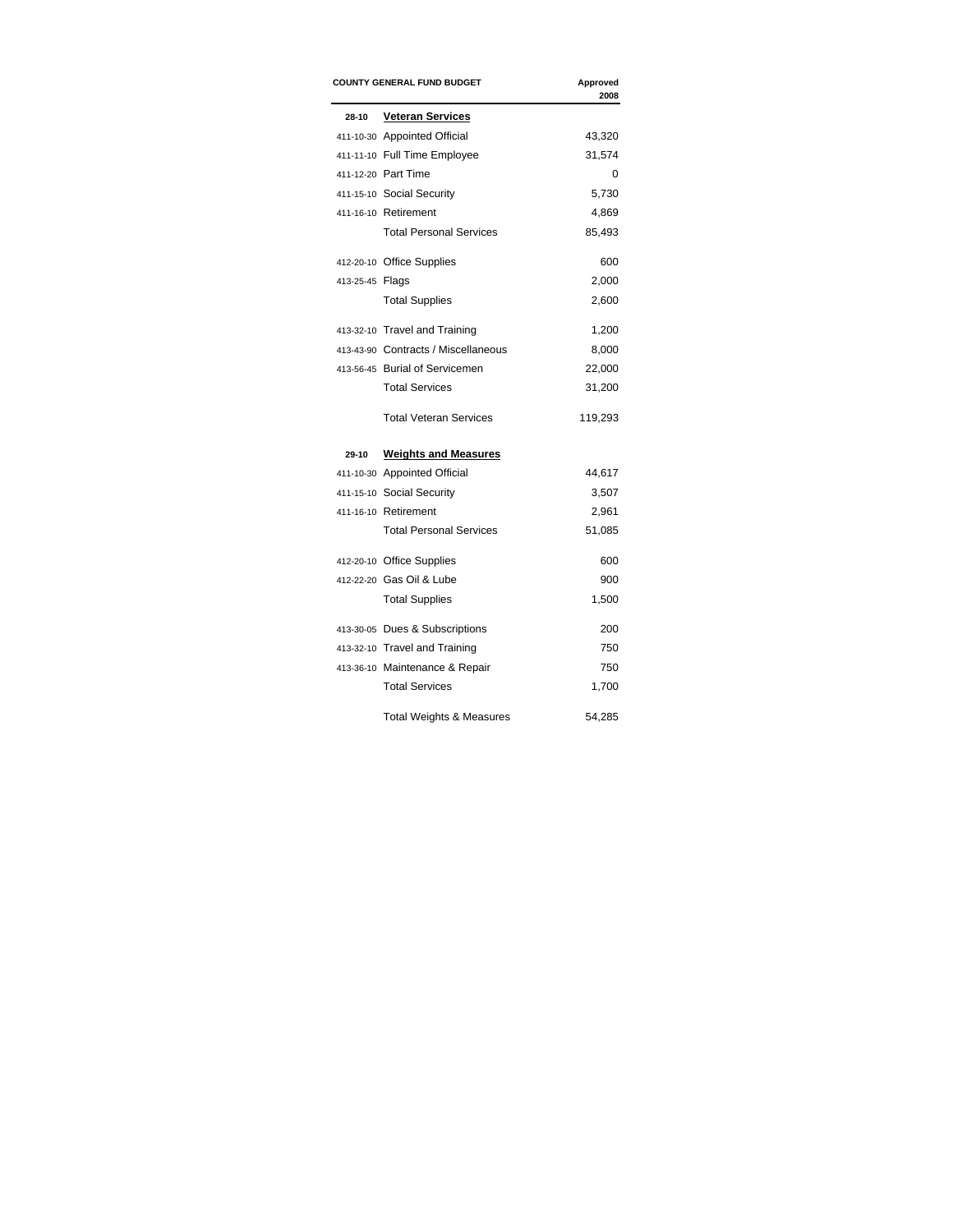|                 | <b>COUNTY GENERAL FUND BUDGET</b>   | Approved<br>2008 |
|-----------------|-------------------------------------|------------------|
| 28-10           | <b>Veteran Services</b>             |                  |
|                 | 411-10-30 Appointed Official        | 43,320           |
|                 | 411-11-10 Full Time Employee        | 31,574           |
|                 | 411-12-20 Part Time                 | 0                |
|                 | 411-15-10 Social Security           | 5,730            |
|                 | 411-16-10 Retirement                | 4,869            |
|                 | <b>Total Personal Services</b>      | 85,493           |
|                 | 412-20-10 Office Supplies           | 600              |
| 413-25-45 Flags |                                     | 2,000            |
|                 | <b>Total Supplies</b>               | 2,600            |
|                 | 413-32-10 Travel and Training       | 1,200            |
|                 | 413-43-90 Contracts / Miscellaneous | 8,000            |
|                 | 413-56-45 Burial of Servicemen      | 22,000           |
|                 | <b>Total Services</b>               | 31,200           |
|                 | <b>Total Veteran Services</b>       | 119,293          |
| 29-10           | <b>Weights and Measures</b>         |                  |
|                 | 411-10-30 Appointed Official        | 44,617           |
|                 | 411-15-10 Social Security           | 3,507            |
|                 | 411-16-10 Retirement                | 2,961            |
|                 | <b>Total Personal Services</b>      | 51,085           |
|                 | 412-20-10 Office Supplies           | 600              |
|                 | 412-22-20 Gas Oil & Lube            | 900              |
|                 | <b>Total Supplies</b>               | 1,500            |
|                 | 413-30-05 Dues & Subscriptions      | 200              |
|                 | 413-32-10 Travel and Training       | 750              |
|                 | 413-36-10 Maintenance & Repair      | 750              |
|                 | <b>Total Services</b>               | 1,700            |
|                 | <b>Total Weights &amp; Measures</b> | 54.285           |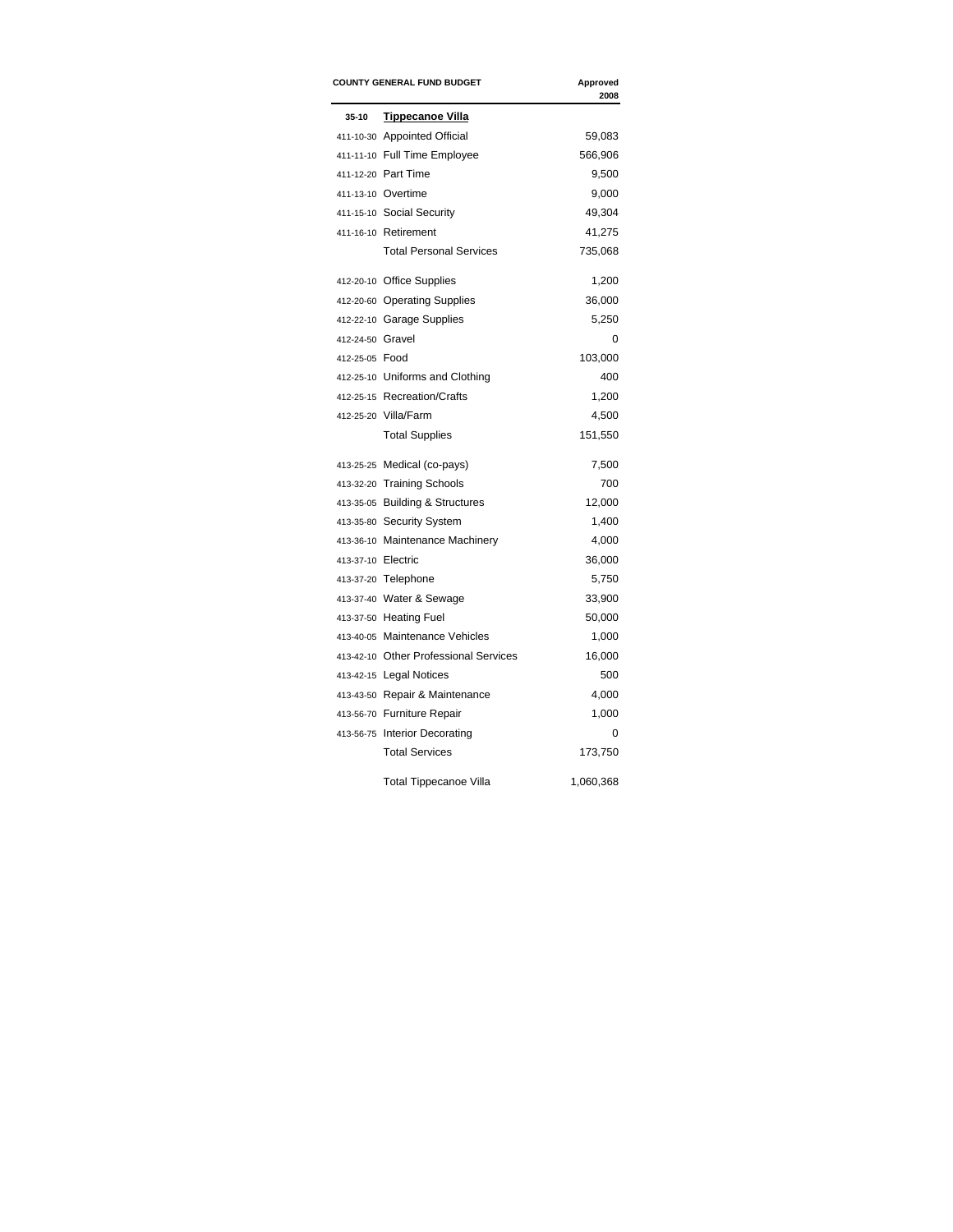|                    | <b>COUNTY GENERAL FUND BUDGET</b>     | Approved<br>2008 |
|--------------------|---------------------------------------|------------------|
| 35-10              | <b>Tippecanoe Villa</b>               |                  |
|                    | 411-10-30 Appointed Official          | 59,083           |
|                    | 411-11-10 Full Time Employee          | 566,906          |
|                    | 411-12-20 Part Time                   | 9,500            |
|                    | 411-13-10 Overtime                    | 9,000            |
|                    | 411-15-10 Social Security             | 49,304           |
|                    | 411-16-10 Retirement                  | 41,275           |
|                    | <b>Total Personal Services</b>        | 735,068          |
|                    | 412-20-10 Office Supplies             | 1,200            |
|                    | 412-20-60 Operating Supplies          | 36,000           |
|                    | 412-22-10 Garage Supplies             | 5,250            |
| 412-24-50 Gravel   |                                       | 0                |
| 412-25-05 Food     |                                       | 103,000          |
|                    | 412-25-10 Uniforms and Clothing       | 400              |
|                    | 412-25-15 Recreation/Crafts           | 1,200            |
|                    | 412-25-20 Villa/Farm                  | 4,500            |
|                    | <b>Total Supplies</b>                 | 151,550          |
|                    | 413-25-25 Medical (co-pays)           | 7,500            |
|                    | 413-32-20 Training Schools            | 700              |
|                    | 413-35-05 Building & Structures       | 12,000           |
|                    | 413-35-80 Security System             | 1,400            |
|                    | 413-36-10 Maintenance Machinery       | 4,000            |
| 413-37-10 Electric |                                       | 36,000           |
|                    | 413-37-20 Telephone                   | 5,750            |
|                    | 413-37-40 Water & Sewage              | 33,900           |
|                    | 413-37-50 Heating Fuel                | 50,000           |
|                    | 413-40-05 Maintenance Vehicles        | 1,000            |
|                    | 413-42-10 Other Professional Services | 16,000           |
|                    | 413-42-15 Legal Notices               | 500              |
|                    | 413-43-50 Repair & Maintenance        | 4,000            |
|                    | 413-56-70 Furniture Repair            | 1,000            |
|                    | 413-56-75 Interior Decorating         | 0                |
|                    | <b>Total Services</b>                 | 173,750          |
|                    | <b>Total Tippecanoe Villa</b>         | 1,060,368        |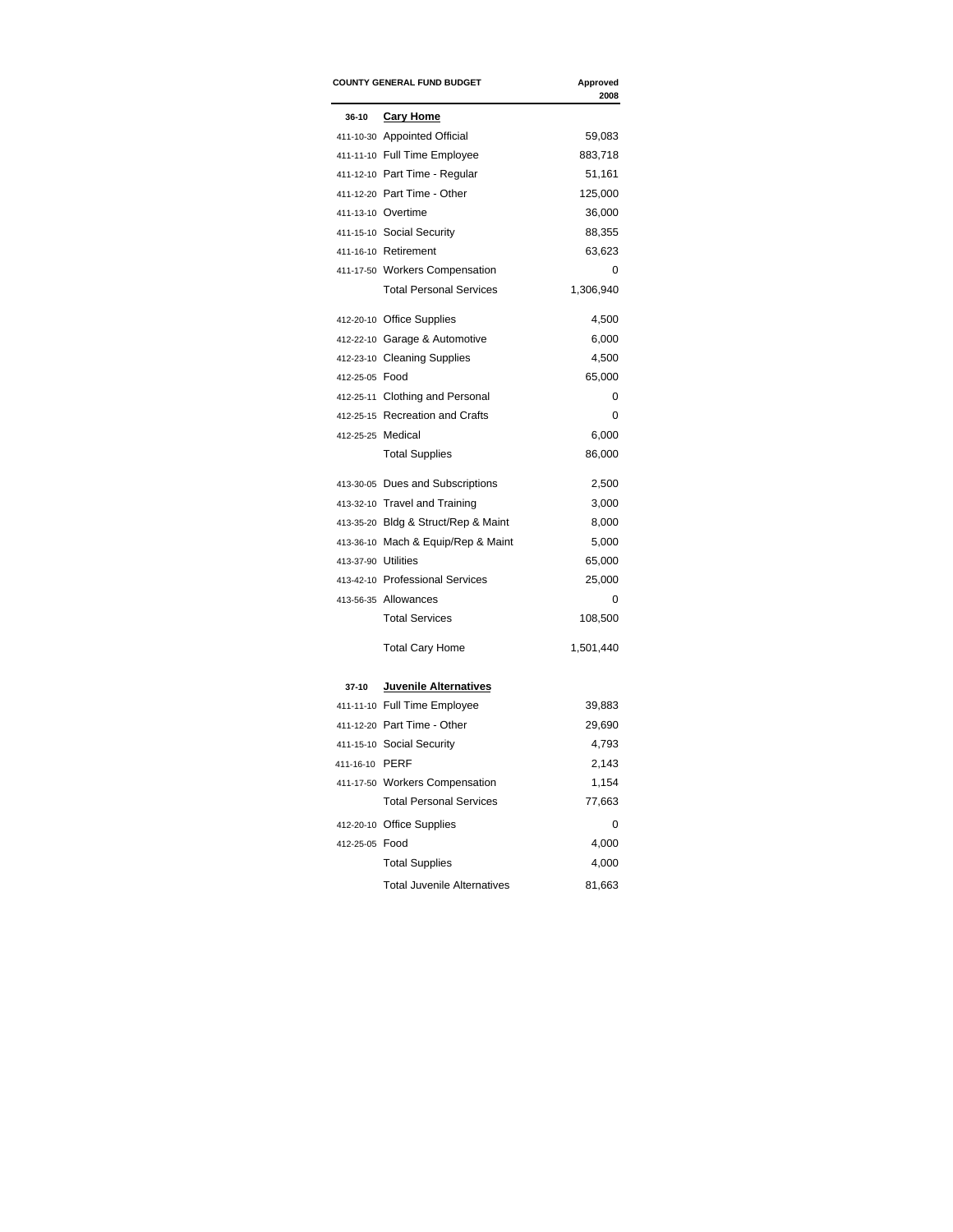|                | <b>COUNTY GENERAL FUND BUDGET</b>   | Approved<br>2008 |
|----------------|-------------------------------------|------------------|
| $36-10$        | <b>Cary Home</b>                    |                  |
|                | 411-10-30 Appointed Official        | 59,083           |
|                | 411-11-10 Full Time Employee        | 883,718          |
|                | 411-12-10 Part Time - Regular       | 51,161           |
|                | 411-12-20 Part Time - Other         | 125,000          |
|                | 411-13-10 Overtime                  | 36,000           |
|                | 411-15-10 Social Security           | 88,355           |
|                | 411-16-10 Retirement                | 63,623           |
|                | 411-17-50 Workers Compensation      | 0                |
|                | <b>Total Personal Services</b>      | 1,306,940        |
|                | 412-20-10 Office Supplies           | 4,500            |
|                | 412-22-10 Garage & Automotive       | 6,000            |
|                | 412-23-10 Cleaning Supplies         | 4,500            |
| 412-25-05 Food |                                     | 65,000           |
|                | 412-25-11 Clothing and Personal     | 0                |
|                | 412-25-15 Recreation and Crafts     | 0                |
|                | 412-25-25 Medical                   | 6,000            |
|                | <b>Total Supplies</b>               | 86,000           |
|                | 413-30-05 Dues and Subscriptions    | 2,500            |
|                | 413-32-10 Travel and Training       | 3,000            |
|                | 413-35-20 Bldg & Struct/Rep & Maint | 8,000            |
|                | 413-36-10 Mach & Equip/Rep & Maint  | 5,000            |
|                | 413-37-90 Utilities                 | 65,000           |
|                | 413-42-10 Professional Services     | 25,000           |
|                | 413-56-35 Allowances                | 0                |
|                | <b>Total Services</b>               | 108,500          |
|                | <b>Total Cary Home</b>              | 1,501,440        |
| 37-10          | Juvenile Alternatives               |                  |
|                | 411-11-10 Full Time Employee        | 39,883           |
|                | 411-12-20 Part Time - Other         | 29,690           |
|                | 411-15-10 Social Security           | 4,793            |
| 411-16-10 PERF |                                     | 2,143            |
|                | 411-17-50 Workers Compensation      | 1,154            |
|                | <b>Total Personal Services</b>      | 77,663           |
|                | 412-20-10 Office Supplies           | 0                |
| 412-25-05 Food |                                     | 4,000            |
|                | <b>Total Supplies</b>               | 4,000            |
|                | <b>Total Juvenile Alternatives</b>  | 81,663           |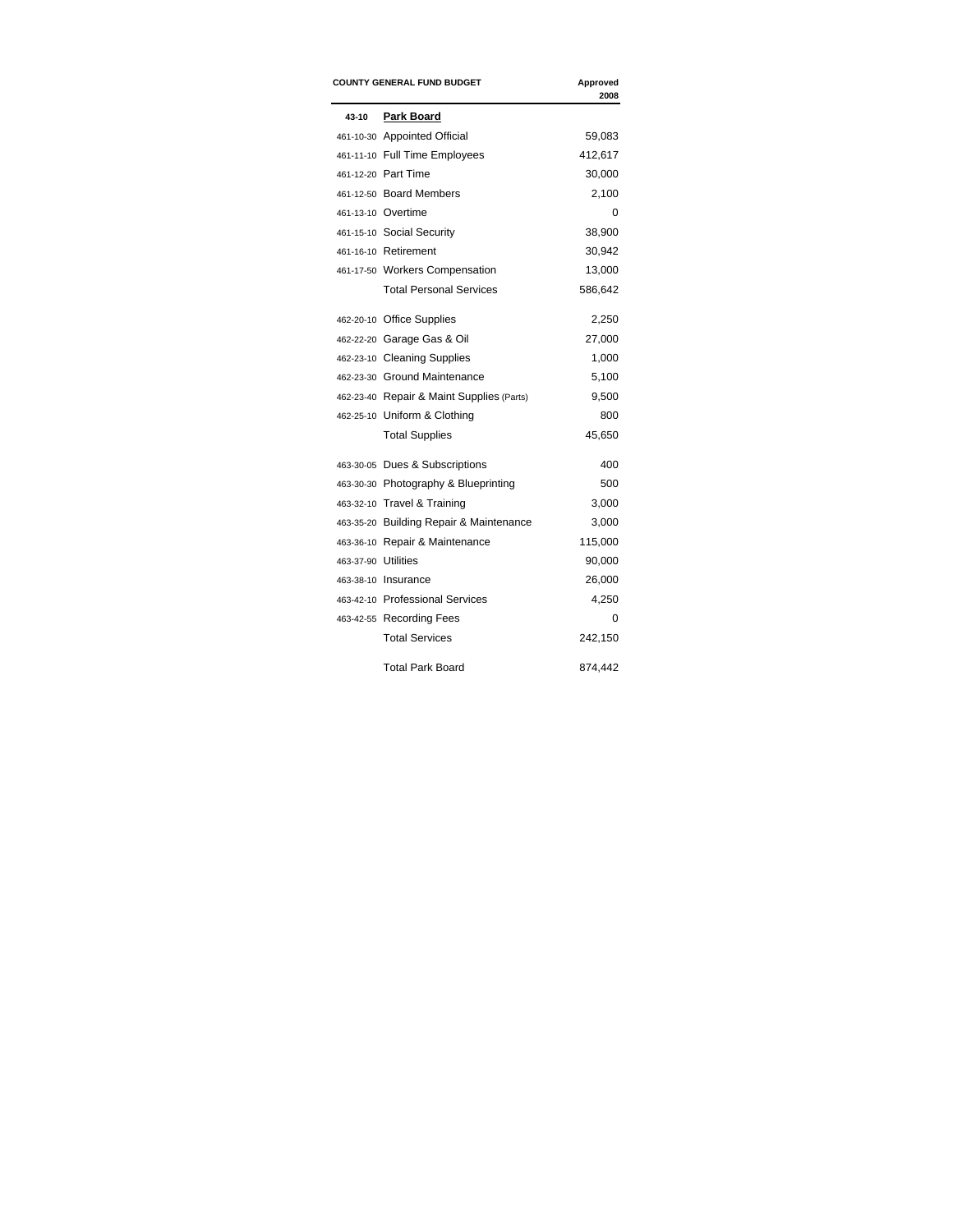| <b>COUNTY GENERAL FUND BUDGET</b> |                                           | Approved<br>2008 |
|-----------------------------------|-------------------------------------------|------------------|
| 43-10                             | Park Board                                |                  |
|                                   | 461-10-30 Appointed Official              | 59,083           |
|                                   | 461-11-10 Full Time Employees             | 412,617          |
|                                   | 461-12-20 Part Time                       | 30,000           |
|                                   | 461-12-50 Board Members                   | 2,100            |
|                                   | 461-13-10 Overtime                        | 0                |
|                                   | 461-15-10 Social Security                 | 38,900           |
|                                   | 461-16-10 Retirement                      | 30,942           |
|                                   | 461-17-50 Workers Compensation            | 13,000           |
|                                   | <b>Total Personal Services</b>            | 586,642          |
|                                   | 462-20-10 Office Supplies                 | 2,250            |
|                                   | 462-22-20 Garage Gas & Oil                | 27,000           |
|                                   | 462-23-10 Cleaning Supplies               | 1,000            |
|                                   | 462-23-30 Ground Maintenance              | 5,100            |
|                                   | 462-23-40 Repair & Maint Supplies (Parts) | 9,500            |
|                                   | 462-25-10 Uniform & Clothing              | 800              |
|                                   | <b>Total Supplies</b>                     | 45,650           |
|                                   | 463-30-05 Dues & Subscriptions            | 400              |
|                                   | 463-30-30 Photography & Blueprinting      | 500              |
|                                   | 463-32-10 Travel & Training               | 3,000            |
|                                   | 463-35-20 Building Repair & Maintenance   | 3,000            |
|                                   | 463-36-10 Repair & Maintenance            | 115,000          |
| 463-37-90 Utilities               |                                           | 90,000           |
|                                   | 463-38-10 Insurance                       | 26,000           |
|                                   | 463-42-10 Professional Services           | 4,250            |
|                                   | 463-42-55 Recording Fees                  | 0                |
|                                   | <b>Total Services</b>                     | 242,150          |
|                                   | Total Park Board                          | 874,442          |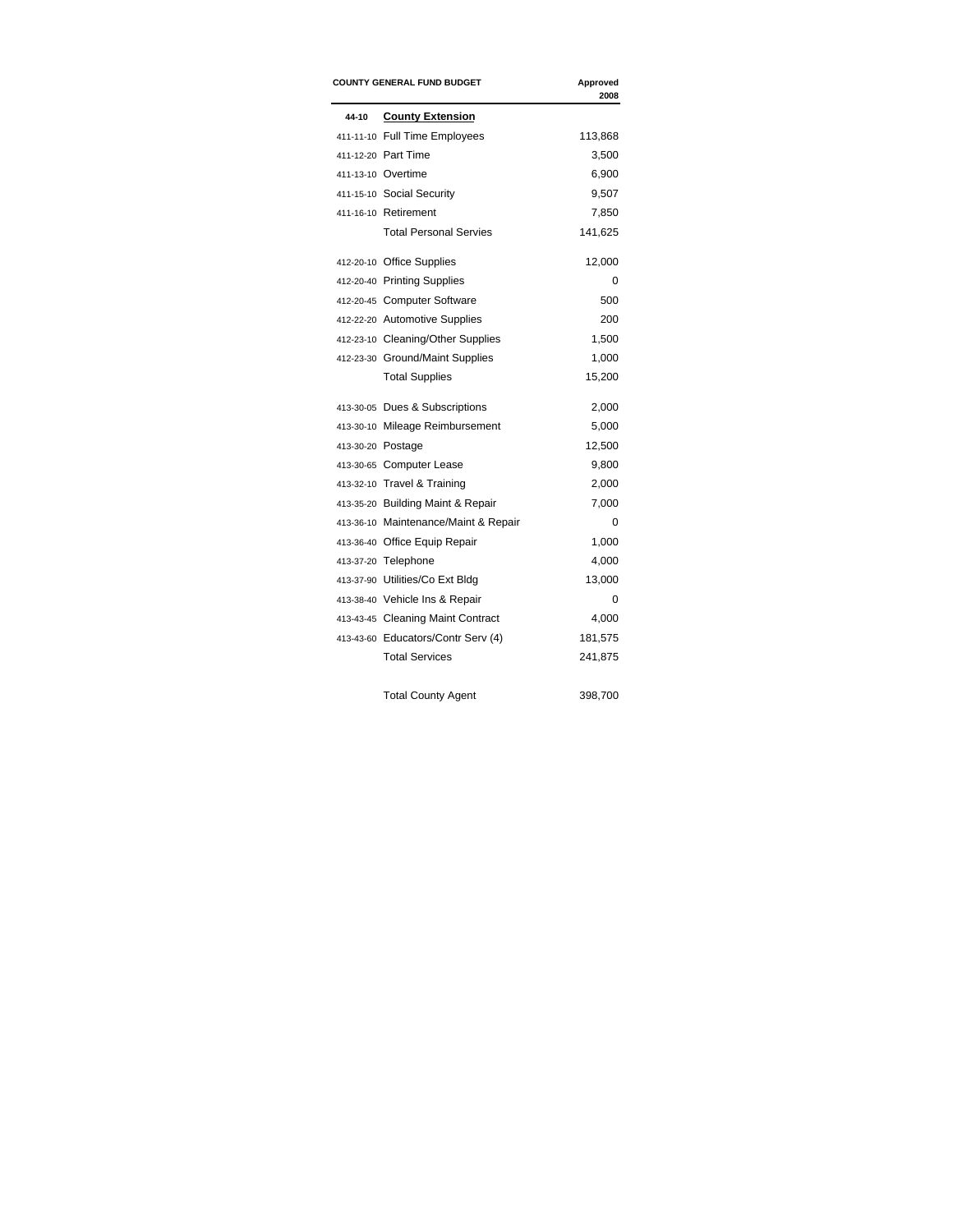|       | <b>COUNTY GENERAL FUND BUDGET</b>    | Approved<br>2008 |
|-------|--------------------------------------|------------------|
| 44-10 | <b>County Extension</b>              |                  |
|       | 411-11-10 Full Time Employees        | 113,868          |
|       | 411-12-20 Part Time                  | 3,500            |
|       | 411-13-10 Overtime                   | 6,900            |
|       | 411-15-10 Social Security            | 9,507            |
|       | 411-16-10 Retirement                 | 7,850            |
|       | <b>Total Personal Servies</b>        | 141,625          |
|       | 412-20-10 Office Supplies            | 12,000           |
|       | 412-20-40 Printing Supplies          | 0                |
|       | 412-20-45 Computer Software          | 500              |
|       | 412-22-20 Automotive Supplies        | 200              |
|       | 412-23-10 Cleaning/Other Supplies    | 1,500            |
|       | 412-23-30 Ground/Maint Supplies      | 1,000            |
|       | <b>Total Supplies</b>                | 15,200           |
|       | 413-30-05 Dues & Subscriptions       | 2,000            |
|       | 413-30-10 Mileage Reimbursement      | 5,000            |
|       | 413-30-20 Postage                    | 12,500           |
|       | 413-30-65 Computer Lease             | 9,800            |
|       | 413-32-10 Travel & Training          | 2,000            |
|       | 413-35-20 Building Maint & Repair    | 7,000            |
|       | 413-36-10 Maintenance/Maint & Repair | $\Omega$         |
|       | 413-36-40 Office Equip Repair        | 1,000            |
|       | 413-37-20 Telephone                  | 4,000            |
|       | 413-37-90 Utilities/Co Ext Bldg      | 13,000           |
|       | 413-38-40 Vehicle Ins & Repair       | 0                |
|       | 413-43-45 Cleaning Maint Contract    | 4,000            |
|       | 413-43-60 Educators/Contr Serv (4)   | 181,575          |
|       | <b>Total Services</b>                | 241,875          |

Total County Agent 398,700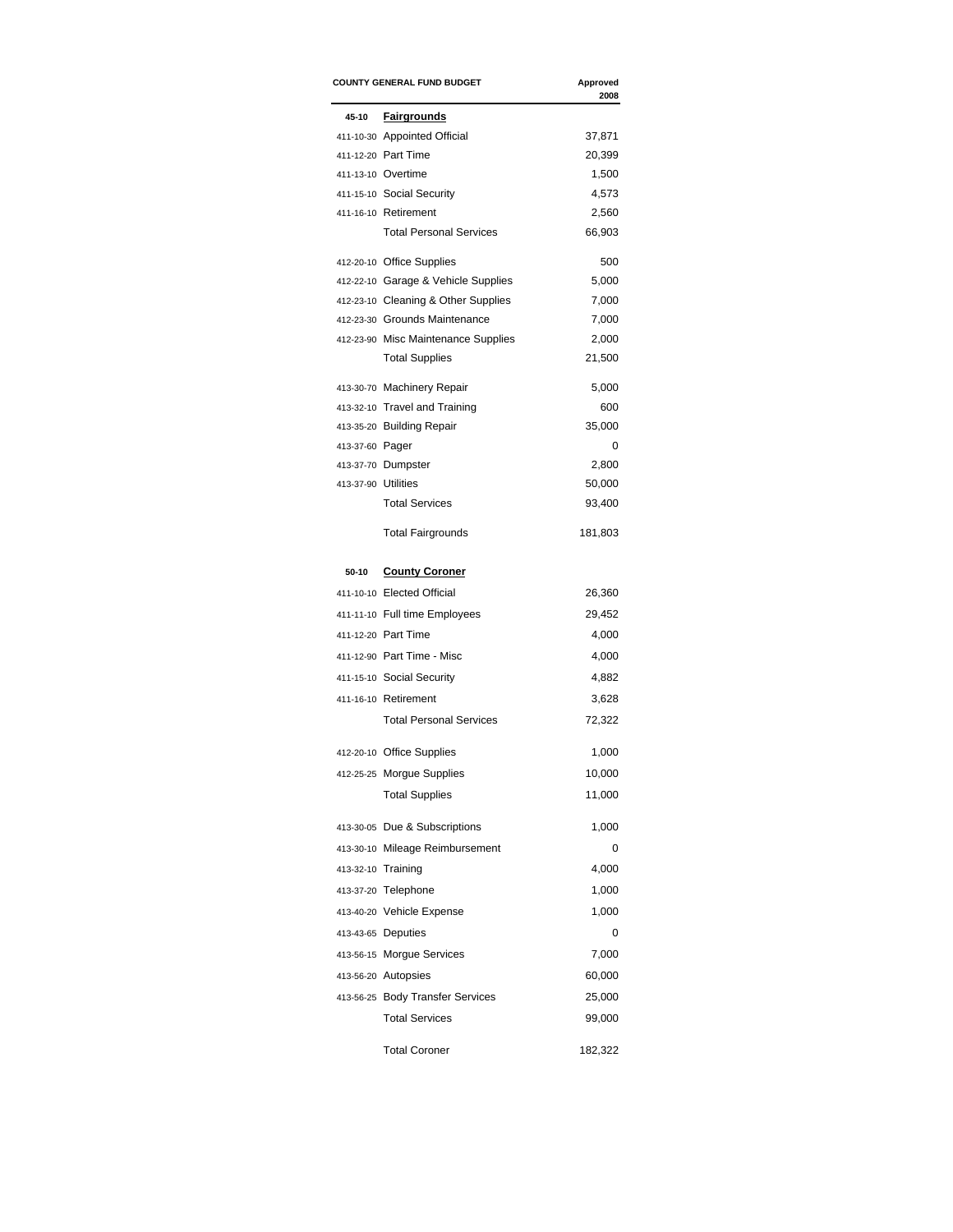| <b>COUNTY GENERAL FUND BUDGET</b>                         | Approved<br>2008                                                                                         |
|-----------------------------------------------------------|----------------------------------------------------------------------------------------------------------|
| <b>Fairgrounds</b>                                        |                                                                                                          |
| 411-10-30 Appointed Official                              | 37,871                                                                                                   |
| 411-12-20 Part Time                                       | 20,399                                                                                                   |
| 411-13-10 Overtime                                        | 1,500                                                                                                    |
| 411-15-10 Social Security                                 | 4,573                                                                                                    |
| 411-16-10 Retirement                                      | 2,560                                                                                                    |
| <b>Total Personal Services</b>                            | 66,903                                                                                                   |
| 412-20-10 Office Supplies                                 | 500                                                                                                      |
| 412-22-10 Garage & Vehicle Supplies                       | 5,000                                                                                                    |
| 412-23-10 Cleaning & Other Supplies                       | 7,000                                                                                                    |
| 412-23-30 Grounds Maintenance                             | 7,000                                                                                                    |
| 412-23-90 Misc Maintenance Supplies                       | 2,000                                                                                                    |
| <b>Total Supplies</b>                                     | 21,500                                                                                                   |
| 413-30-70 Machinery Repair                                | 5,000                                                                                                    |
| 413-32-10 Travel and Training                             | 600                                                                                                      |
| 413-35-20 Building Repair                                 | 35,000                                                                                                   |
| 413-37-60 Pager                                           | 0                                                                                                        |
| 413-37-70 Dumpster                                        | 2,800                                                                                                    |
| 413-37-90 Utilities                                       | 50,000                                                                                                   |
|                                                           | 93,400                                                                                                   |
| <b>Total Fairgrounds</b>                                  | 181,803                                                                                                  |
| <b>County Coroner</b>                                     |                                                                                                          |
| 411-10-10 Elected Official                                | 26,360                                                                                                   |
| 411-11-10 Full time Employees                             | 29,452                                                                                                   |
| 411-12-20 Part Time                                       | 4,000                                                                                                    |
| 411-12-90 Part Time - Misc                                | 4,000                                                                                                    |
| 411-15-10 Social Security                                 | 4,882                                                                                                    |
| 411-16-10 Retirement                                      | 3,628                                                                                                    |
| <b>Total Personal Services</b>                            | 72,322                                                                                                   |
|                                                           | 1,000                                                                                                    |
|                                                           | 10,000                                                                                                   |
|                                                           | 11,000                                                                                                   |
|                                                           |                                                                                                          |
| 413-30-05 Due & Subscriptions                             | 1,000                                                                                                    |
| 413-30-10 Mileage Reimbursement                           | 0                                                                                                        |
| 413-32-10 Training                                        | 4,000                                                                                                    |
| 413-37-20 Telephone                                       | 1,000                                                                                                    |
| 413-40-20 Vehicle Expense                                 | 1,000                                                                                                    |
|                                                           |                                                                                                          |
| 413-43-65 Deputies                                        | 0                                                                                                        |
| 413-56-15 Morgue Services                                 | 7,000                                                                                                    |
| 413-56-20 Autopsies                                       | 60,000                                                                                                   |
|                                                           |                                                                                                          |
| 413-56-25 Body Transfer Services<br><b>Total Services</b> | 25,000<br>99,000                                                                                         |
|                                                           | <b>Total Services</b><br>412-20-10 Office Supplies<br>412-25-25 Morgue Supplies<br><b>Total Supplies</b> |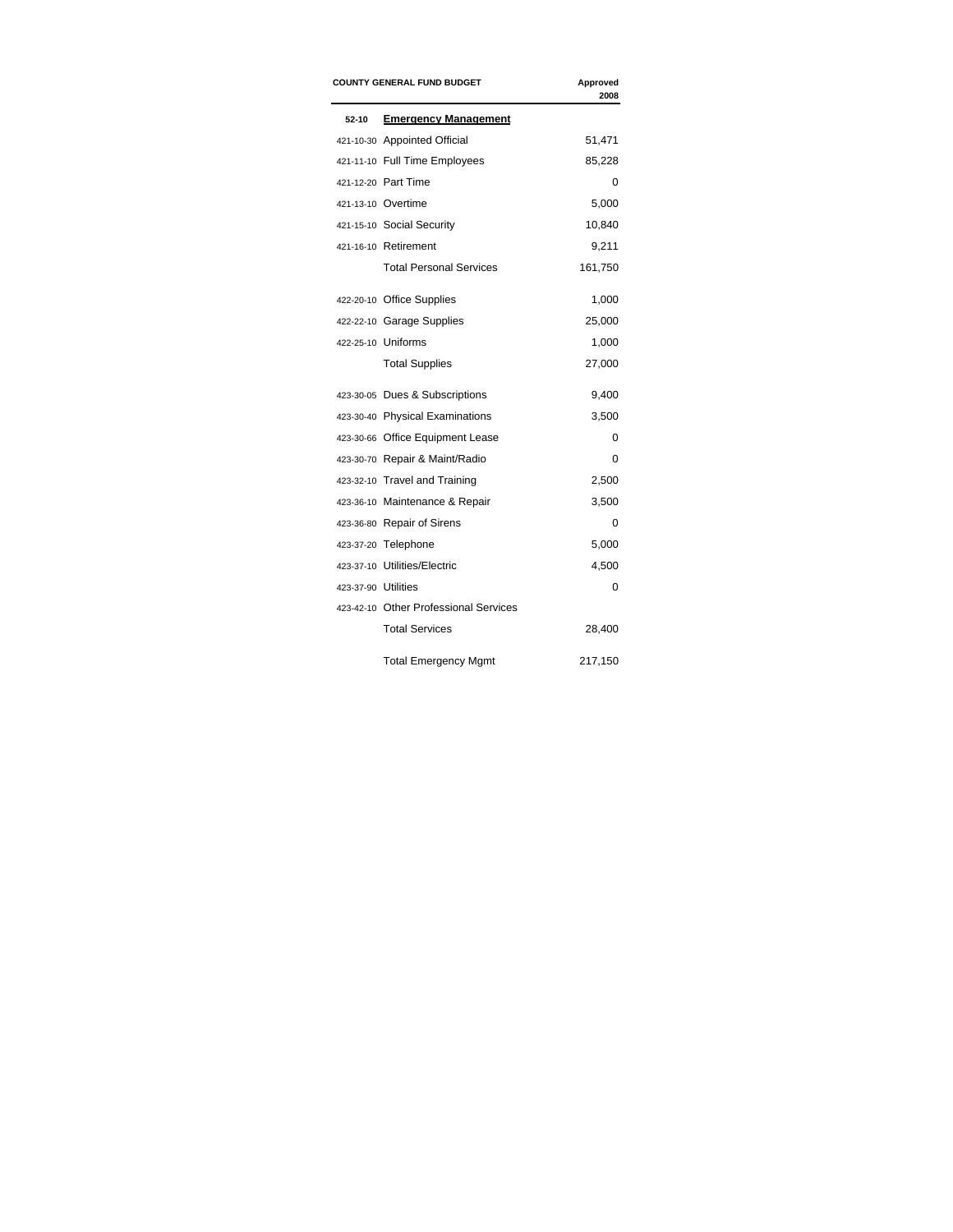|                     | <b>COUNTY GENERAL FUND BUDGET</b>     | Approved<br>2008 |
|---------------------|---------------------------------------|------------------|
| 52-10               | <b>Emergency Management</b>           |                  |
|                     | 421-10-30 Appointed Official          | 51,471           |
|                     | 421-11-10 Full Time Employees         | 85,228           |
|                     | 421-12-20 Part Time                   | 0                |
|                     | 421-13-10 Overtime                    | 5,000            |
|                     | 421-15-10 Social Security             | 10,840           |
|                     | 421-16-10 Retirement                  | 9,211            |
|                     | <b>Total Personal Services</b>        | 161,750          |
|                     | 422-20-10 Office Supplies             | 1,000            |
|                     | 422-22-10 Garage Supplies             | 25,000           |
|                     | 422-25-10 Uniforms                    | 1,000            |
|                     | <b>Total Supplies</b>                 | 27,000           |
|                     | 423-30-05 Dues & Subscriptions        | 9,400            |
|                     | 423-30-40 Physical Examinations       | 3,500            |
|                     | 423-30-66 Office Equipment Lease      | 0                |
|                     | 423-30-70 Repair & Maint/Radio        | $\Omega$         |
|                     | 423-32-10 Travel and Training         | 2,500            |
|                     | 423-36-10 Maintenance & Repair        | 3,500            |
|                     | 423-36-80 Repair of Sirens            | $\Omega$         |
|                     | 423-37-20 Telephone                   | 5,000            |
|                     | 423-37-10 Utilities/Electric          | 4,500            |
| 423-37-90 Utilities |                                       | 0                |
|                     | 423-42-10 Other Professional Services |                  |
|                     | <b>Total Services</b>                 | 28,400           |
|                     | <b>Total Emergency Mgmt</b>           | 217,150          |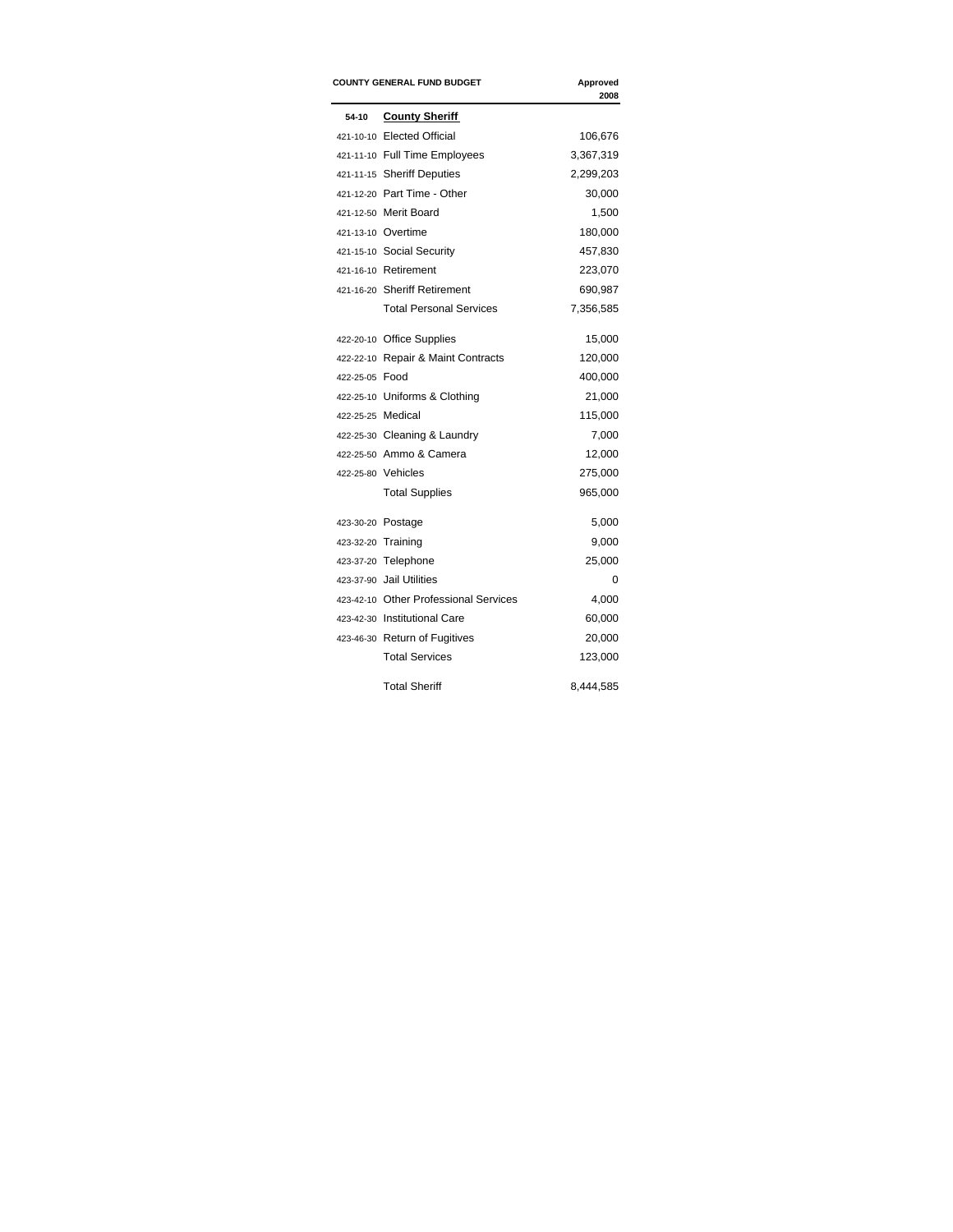|                   | <b>COUNTY GENERAL FUND BUDGET</b>     | Approved<br>2008 |
|-------------------|---------------------------------------|------------------|
| 54-10             | <b>County Sheriff</b>                 |                  |
|                   | 421-10-10 Elected Official            | 106,676          |
|                   | 421-11-10 Full Time Employees         | 3,367,319        |
|                   | 421-11-15 Sheriff Deputies            | 2,299,203        |
|                   | 421-12-20 Part Time - Other           | 30,000           |
|                   | 421-12-50 Merit Board                 | 1,500            |
|                   | 421-13-10 Overtime                    | 180,000          |
|                   | 421-15-10 Social Security             | 457,830          |
|                   | 421-16-10 Retirement                  | 223,070          |
|                   | 421-16-20 Sheriff Retirement          | 690,987          |
|                   | <b>Total Personal Services</b>        | 7,356,585        |
|                   | 422-20-10 Office Supplies             | 15,000           |
|                   | 422-22-10 Repair & Maint Contracts    | 120,000          |
| 422-25-05 Food    |                                       | 400,000          |
|                   | 422-25-10 Uniforms & Clothing         | 21,000           |
| 422-25-25 Medical |                                       | 115,000          |
|                   | 422-25-30 Cleaning & Laundry          | 7,000            |
|                   | 422-25-50 Ammo & Camera               | 12,000           |
|                   | 422-25-80 Vehicles                    | 275,000          |
|                   | <b>Total Supplies</b>                 | 965,000          |
|                   | 423-30-20 Postage                     | 5,000            |
|                   | 423-32-20 Training                    | 9,000            |
|                   | 423-37-20 Telephone                   | 25,000           |
|                   | 423-37-90 Jail Utilities              | 0                |
|                   | 423-42-10 Other Professional Services | 4,000            |
|                   | 423-42-30 Institutional Care          | 60,000           |
|                   | 423-46-30 Return of Fugitives         | 20,000           |
|                   | <b>Total Services</b>                 | 123,000          |
|                   | <b>Total Sheriff</b>                  | 8,444,585        |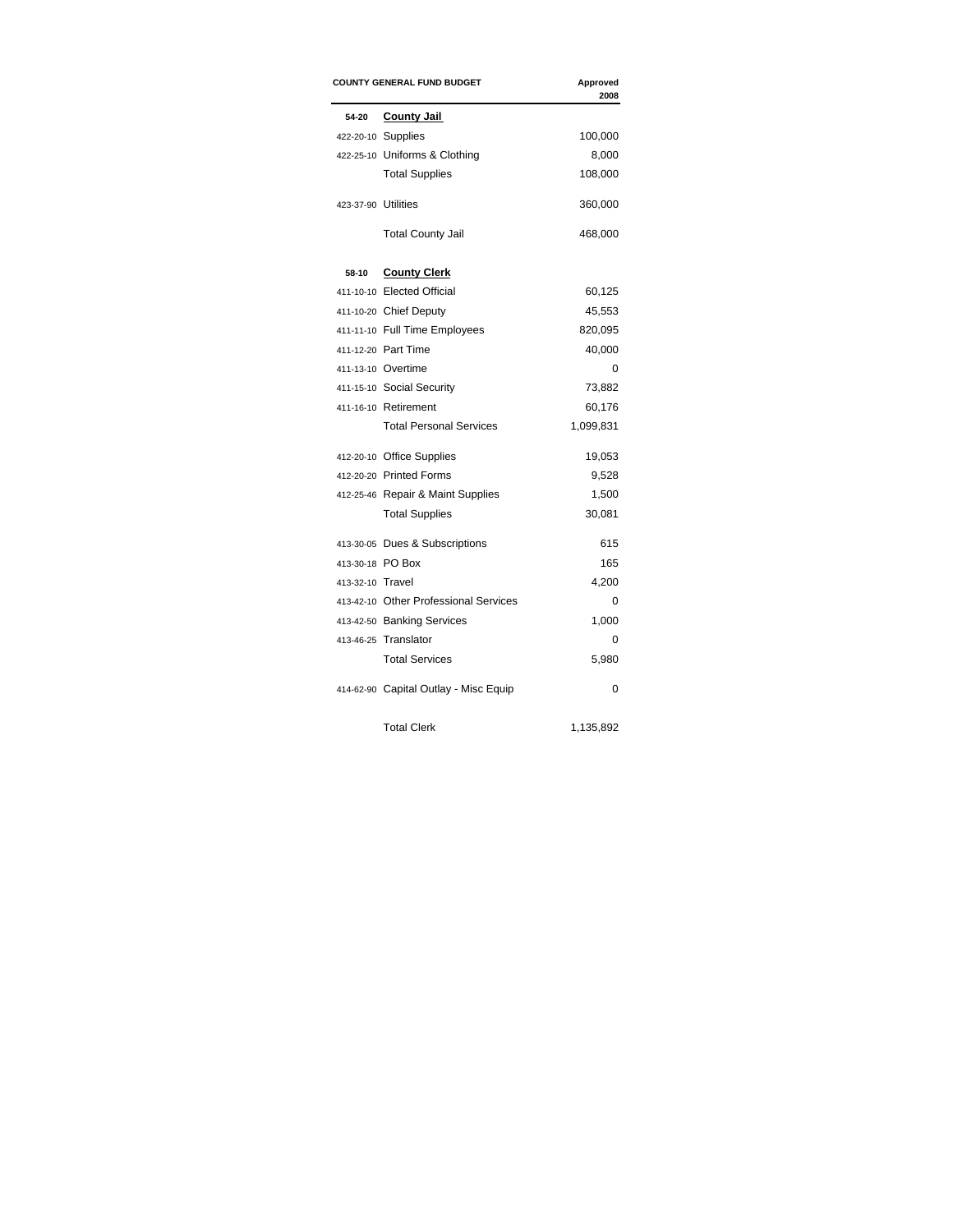|                     | <b>COUNTY GENERAL FUND BUDGET</b><br>Approved<br>2008 |           |
|---------------------|-------------------------------------------------------|-----------|
| 54-20               | <b>County Jail</b>                                    |           |
|                     | 422-20-10 Supplies                                    | 100,000   |
|                     | 422-25-10 Uniforms & Clothing                         | 8,000     |
|                     | <b>Total Supplies</b>                                 | 108,000   |
| 423-37-90 Utilities |                                                       | 360,000   |
|                     | <b>Total County Jail</b>                              | 468,000   |
| 58-10               | <b>County Clerk</b>                                   |           |
|                     | 411-10-10 Elected Official                            | 60,125    |
|                     | 411-10-20 Chief Deputy                                | 45,553    |
|                     | 411-11-10 Full Time Employees                         | 820,095   |
|                     | 411-12-20 Part Time                                   | 40,000    |
|                     | 411-13-10 Overtime                                    | 0         |
|                     | 411-15-10 Social Security                             | 73,882    |
|                     | 411-16-10 Retirement                                  | 60,176    |
|                     | <b>Total Personal Services</b>                        | 1,099,831 |
|                     | 412-20-10 Office Supplies                             | 19,053    |
|                     | 412-20-20 Printed Forms                               | 9,528     |
|                     | 412-25-46 Repair & Maint Supplies                     | 1,500     |
|                     | <b>Total Supplies</b>                                 | 30,081    |
|                     | 413-30-05 Dues & Subscriptions                        | 615       |
| 413-30-18 PO Box    |                                                       | 165       |
| 413-32-10 Travel    |                                                       | 4,200     |
|                     | 413-42-10 Other Professional Services                 | 0         |
|                     | 413-42-50 Banking Services                            | 1,000     |
|                     | 413-46-25 Translator                                  | 0         |
|                     | <b>Total Services</b>                                 | 5,980     |
|                     | 414-62-90 Capital Outlay - Misc Equip                 | 0         |
|                     | <b>Total Clerk</b>                                    | 1,135,892 |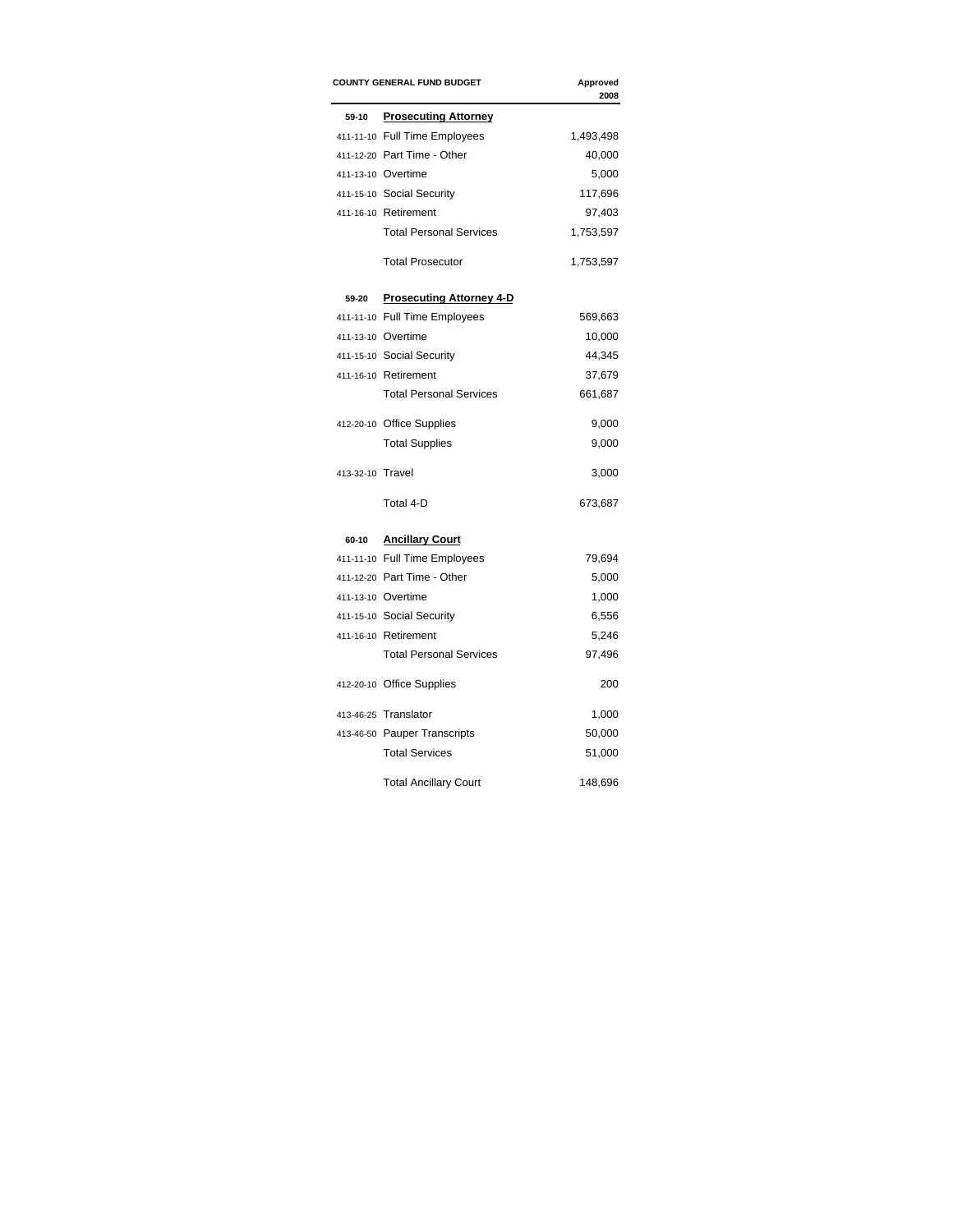|                  | <b>COUNTY GENERAL FUND BUDGET</b> | Approved<br>2008 |
|------------------|-----------------------------------|------------------|
| 59-10            | <b>Prosecuting Attorney</b>       |                  |
|                  | 411-11-10 Full Time Employees     | 1,493,498        |
|                  | 411-12-20 Part Time - Other       | 40,000           |
|                  | 411-13-10 Overtime                | 5,000            |
|                  | 411-15-10 Social Security         | 117,696          |
|                  | 411-16-10 Retirement              | 97,403           |
|                  | <b>Total Personal Services</b>    | 1,753,597        |
|                  | <b>Total Prosecutor</b>           | 1,753,597        |
| 59-20            | <b>Prosecuting Attorney 4-D</b>   |                  |
|                  | 411-11-10 Full Time Employees     | 569,663          |
|                  | 411-13-10 Overtime                | 10,000           |
|                  | 411-15-10 Social Security         | 44,345           |
|                  | 411-16-10 Retirement              | 37,679           |
|                  | <b>Total Personal Services</b>    | 661,687          |
|                  | 412-20-10 Office Supplies         | 9,000            |
|                  | <b>Total Supplies</b>             | 9,000            |
| 413-32-10 Travel |                                   | 3,000            |
|                  | Total 4-D                         | 673,687          |
| 60-10            | <b>Ancillary Court</b>            |                  |
|                  | 411-11-10 Full Time Employees     | 79,694           |
|                  | 411-12-20 Part Time - Other       | 5,000            |
|                  | 411-13-10 Overtime                | 1,000            |
|                  | 411-15-10 Social Security         | 6,556            |
|                  | 411-16-10 Retirement              | 5,246            |
|                  | <b>Total Personal Services</b>    | 97,496           |
|                  | 412-20-10 Office Supplies         | 200              |
|                  | 413-46-25 Translator              | 1,000            |
|                  | 413-46-50 Pauper Transcripts      | 50,000           |
|                  | <b>Total Services</b>             | 51,000           |
|                  | <b>Total Ancillary Court</b>      | 148,696          |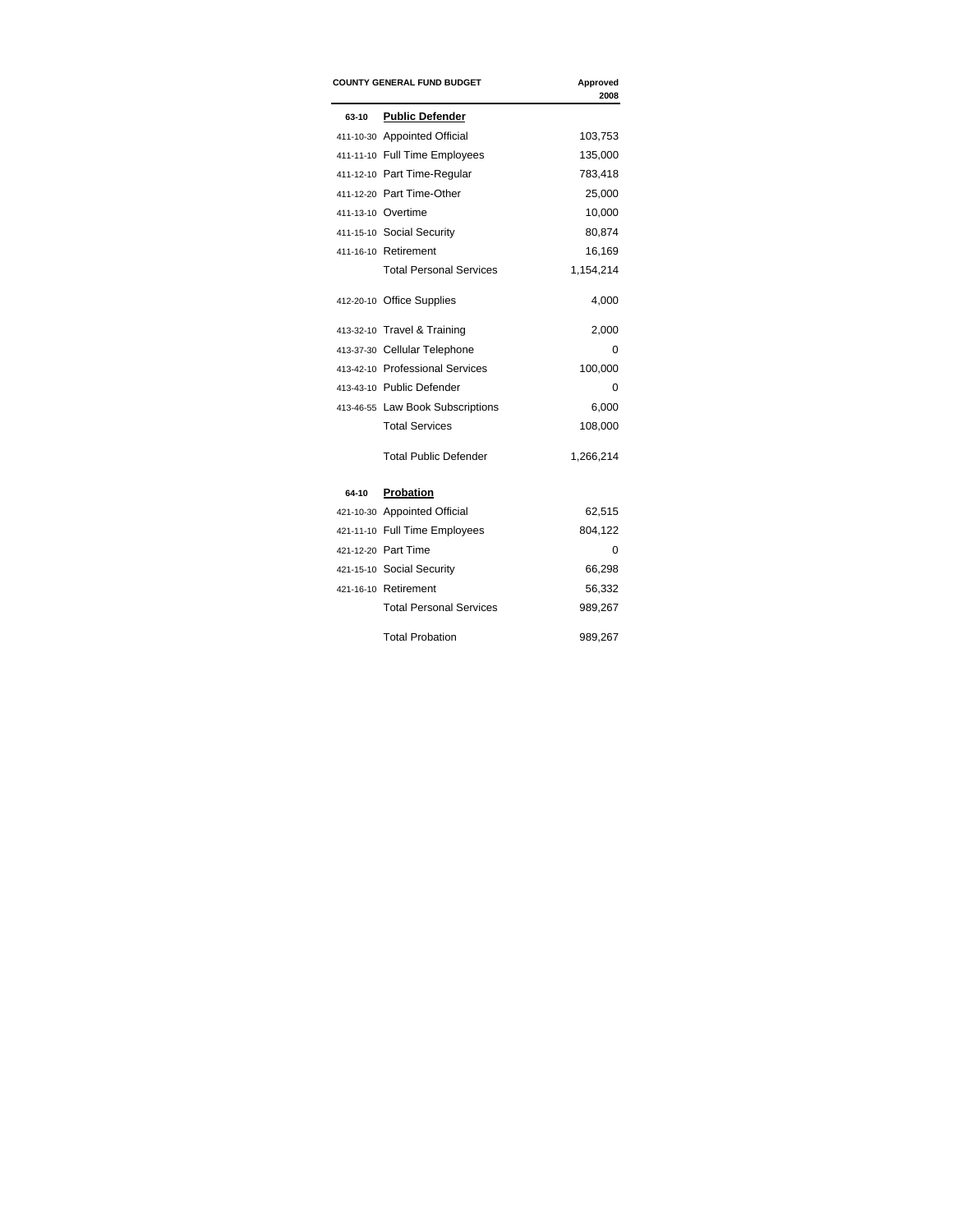|       | <b>COUNTY GENERAL FUND BUDGET</b> | Approved<br>2008 |
|-------|-----------------------------------|------------------|
| 63-10 | <b>Public Defender</b>            |                  |
|       | 411-10-30 Appointed Official      | 103,753          |
|       | 411-11-10 Full Time Employees     | 135,000          |
|       | 411-12-10 Part Time-Regular       | 783,418          |
|       | 411-12-20 Part Time-Other         | 25,000           |
|       | 411-13-10 Overtime                | 10,000           |
|       | 411-15-10 Social Security         | 80,874           |
|       | 411-16-10 Retirement              | 16,169           |
|       | <b>Total Personal Services</b>    | 1,154,214        |
|       | 412-20-10 Office Supplies         | 4,000            |
|       | 413-32-10 Travel & Training       | 2,000            |
|       | 413-37-30 Cellular Telephone      | 0                |
|       | 413-42-10 Professional Services   | 100,000          |
|       | 413-43-10 Public Defender         | 0                |
|       | 413-46-55 Law Book Subscriptions  | 6,000            |
|       | <b>Total Services</b>             | 108,000          |
|       | <b>Total Public Defender</b>      | 1,266,214        |
| 64-10 | Probation                         |                  |
|       | 421-10-30 Appointed Official      | 62,515           |
|       | 421-11-10 Full Time Employees     | 804,122          |
|       | 421-12-20 Part Time               | 0                |
|       | 421-15-10 Social Security         | 66,298           |
|       | 421-16-10 Retirement              | 56,332           |
|       | <b>Total Personal Services</b>    | 989,267          |
|       | <b>Total Probation</b>            | 989,267          |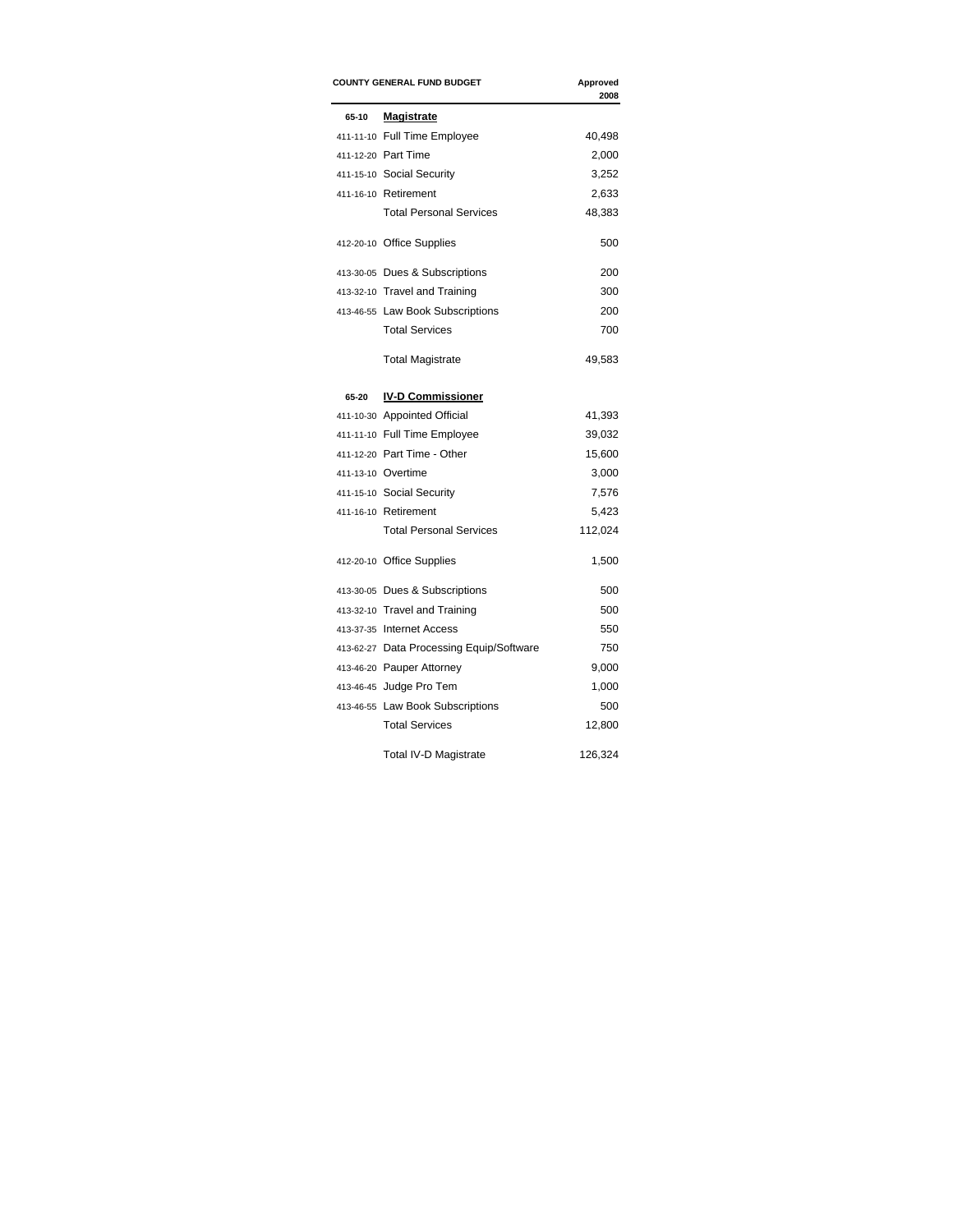|       | <b>COUNTY GENERAL FUND BUDGET</b>        | Approved<br>2008 |
|-------|------------------------------------------|------------------|
| 65-10 | Magistrate                               |                  |
|       | 411-11-10 Full Time Employee             | 40,498           |
|       | 411-12-20 Part Time                      | 2,000            |
|       | 411-15-10 Social Security                | 3,252            |
|       | 411-16-10 Retirement                     | 2,633            |
|       | <b>Total Personal Services</b>           | 48,383           |
|       | 412-20-10 Office Supplies                | 500              |
|       | 413-30-05 Dues & Subscriptions           | 200              |
|       | 413-32-10 Travel and Training            | 300              |
|       | 413-46-55 Law Book Subscriptions         | 200              |
|       | <b>Total Services</b>                    | 700              |
|       | <b>Total Magistrate</b>                  | 49,583           |
| 65-20 | <b>IV-D Commissioner</b>                 |                  |
|       | 411-10-30 Appointed Official             | 41,393           |
|       | 411-11-10 Full Time Employee             | 39,032           |
|       | 411-12-20 Part Time - Other              | 15,600           |
|       | 411-13-10 Overtime                       | 3,000            |
|       | 411-15-10 Social Security                | 7,576            |
|       | 411-16-10 Retirement                     | 5,423            |
|       | <b>Total Personal Services</b>           | 112,024          |
|       | 412-20-10 Office Supplies                | 1,500            |
|       | 413-30-05 Dues & Subscriptions           | 500              |
|       | 413-32-10 Travel and Training            | 500              |
|       | 413-37-35 Internet Access                | 550              |
|       | 413-62-27 Data Processing Equip/Software | 750              |
|       | 413-46-20 Pauper Attorney                | 9,000            |
|       | 413-46-45 Judge Pro Tem                  | 1,000            |
|       | 413-46-55 Law Book Subscriptions         | 500              |
|       | <b>Total Services</b>                    | 12,800           |
|       | Total IV-D Magistrate                    | 126,324          |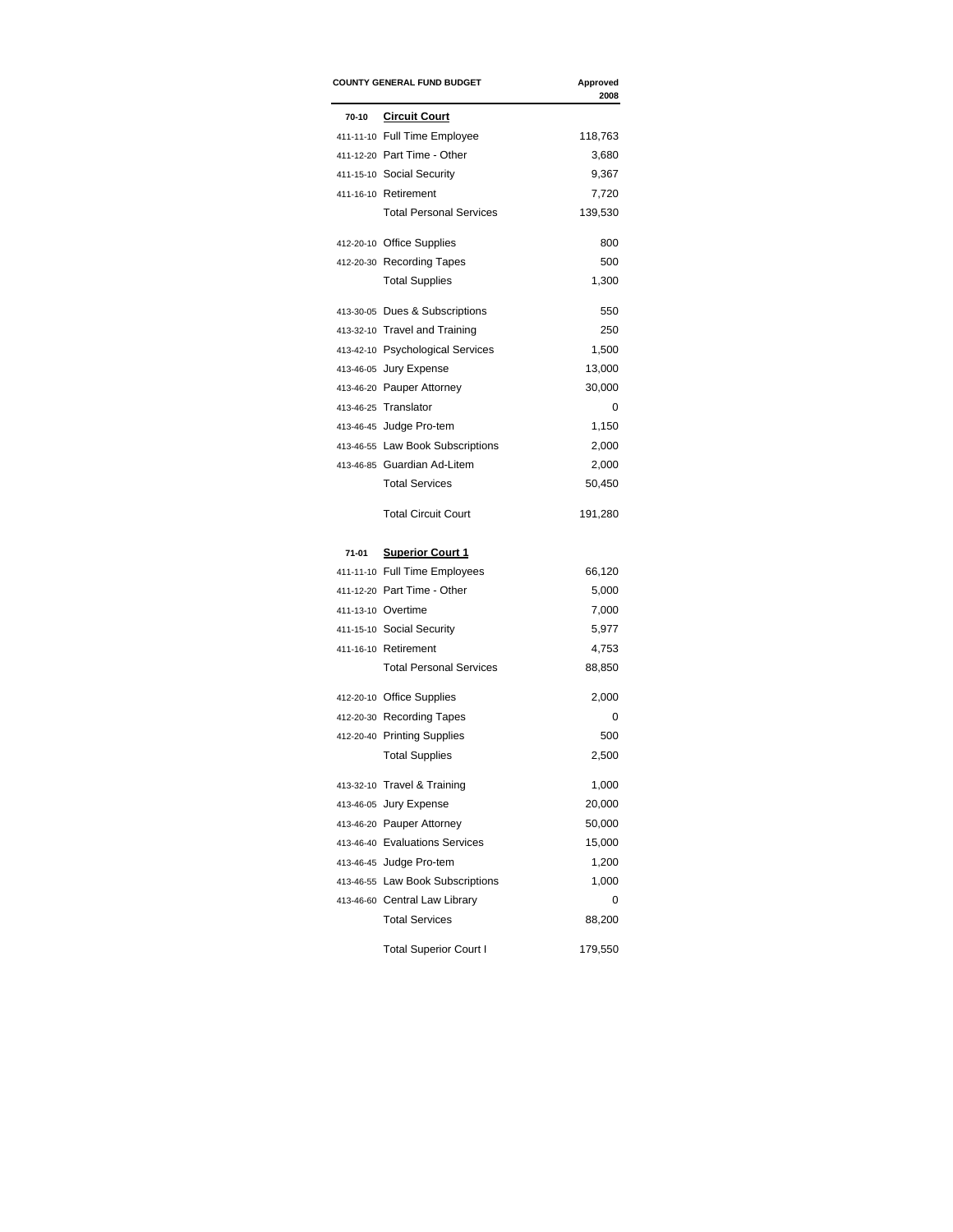| <b>COUNTY GENERAL FUND BUDGET</b> |                                  | Approved<br>2008 |
|-----------------------------------|----------------------------------|------------------|
| 70-10                             | <b>Circuit Court</b>             |                  |
|                                   | 411-11-10 Full Time Employee     | 118,763          |
|                                   | 411-12-20 Part Time - Other      | 3,680            |
|                                   | 411-15-10 Social Security        | 9,367            |
|                                   | 411-16-10 Retirement             | 7,720            |
|                                   | <b>Total Personal Services</b>   | 139,530          |
|                                   | 412-20-10 Office Supplies        | 800              |
|                                   | 412-20-30 Recording Tapes        | 500              |
|                                   | <b>Total Supplies</b>            | 1,300            |
|                                   | 413-30-05 Dues & Subscriptions   | 550              |
|                                   | 413-32-10 Travel and Training    | 250              |
|                                   | 413-42-10 Psychological Services | 1,500            |
|                                   | 413-46-05 Jury Expense           | 13,000           |
|                                   | 413-46-20 Pauper Attorney        | 30,000           |
|                                   | 413-46-25 Translator             | 0                |
|                                   | 413-46-45 Judge Pro-tem          | 1,150            |
|                                   | 413-46-55 Law Book Subscriptions | 2,000            |
|                                   | 413-46-85 Guardian Ad-Litem      | 2,000            |
|                                   | <b>Total Services</b>            | 50,450           |
|                                   | <b>Total Circuit Court</b>       | 191,280          |
| 71-01                             | <b>Superior Court 1</b>          |                  |
|                                   | 411-11-10 Full Time Employees    | 66,120           |
|                                   | 411-12-20 Part Time - Other      | 5,000            |
|                                   | 411-13-10 Overtime               | 7,000            |
|                                   | 411-15-10 Social Security        | 5,977            |
|                                   | 411-16-10 Retirement             | 4,753            |
|                                   | <b>Total Personal Services</b>   | 88,850           |
|                                   | 412-20-10 Office Supplies        | 2,000            |
|                                   | 412-20-30 Recording Tapes        | 0                |
|                                   | 412-20-40 Printing Supplies      | 500              |
|                                   | <b>Total Supplies</b>            | 2,500            |
|                                   | 413-32-10 Travel & Training      | 1,000            |
|                                   | 413-46-05 Jury Expense           | 20,000           |
|                                   | 413-46-20 Pauper Attorney        | 50,000           |
|                                   | 413-46-40 Evaluations Services   | 15,000           |
|                                   | 413-46-45 Judge Pro-tem          | 1,200            |
|                                   | 413-46-55 Law Book Subscriptions | 1,000            |
|                                   | 413-46-60 Central Law Library    | 0                |
|                                   | <b>Total Services</b>            | 88,200           |
|                                   | <b>Total Superior Court I</b>    | 179,550          |
|                                   |                                  |                  |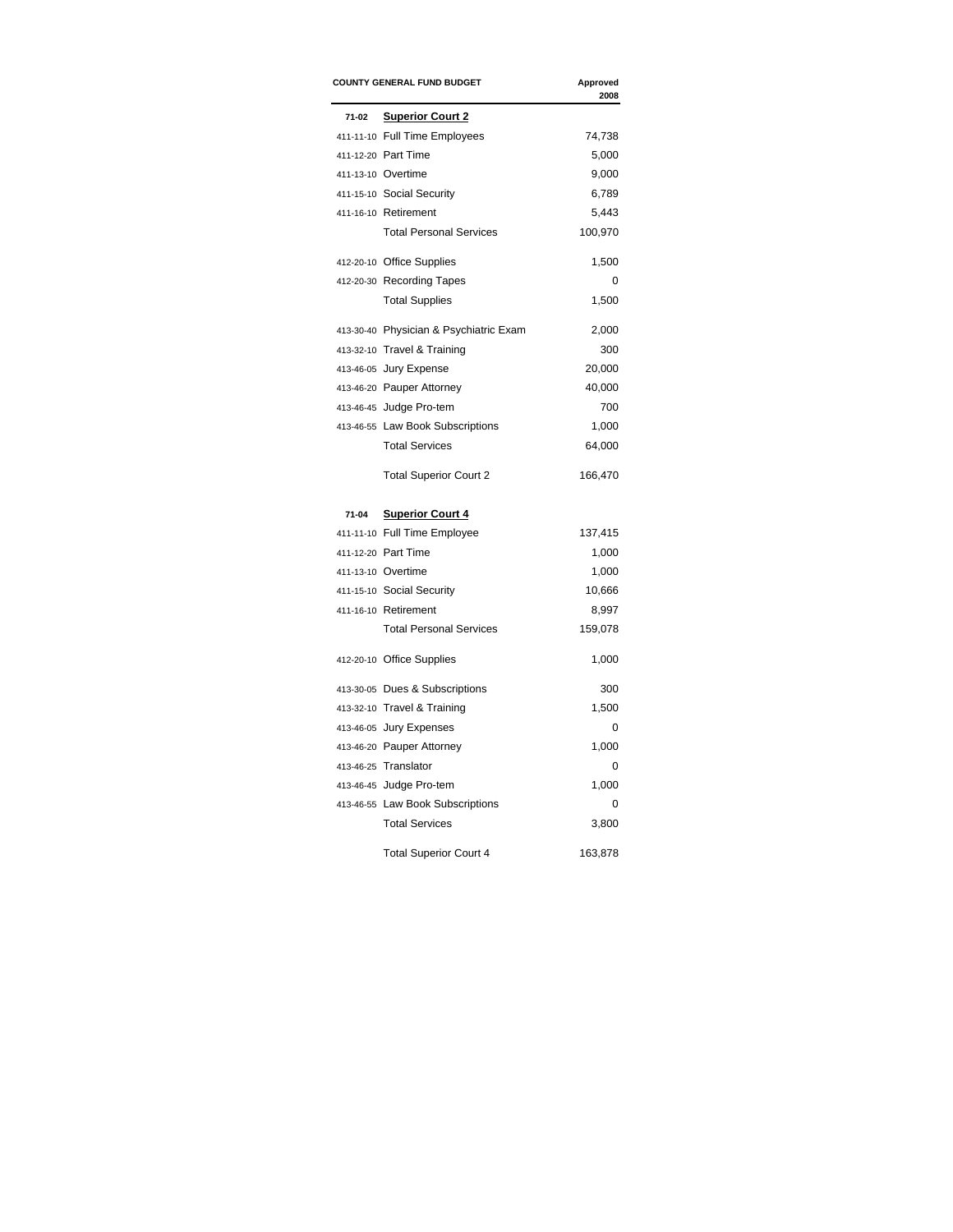|       | <b>COUNTY GENERAL FUND BUDGET</b>      |         |  |
|-------|----------------------------------------|---------|--|
| 71-02 | <b>Superior Court 2</b>                |         |  |
|       | 411-11-10 Full Time Employees          | 74,738  |  |
|       | 411-12-20 Part Time                    | 5,000   |  |
|       | 411-13-10 Overtime                     | 9,000   |  |
|       | 411-15-10 Social Security              | 6,789   |  |
|       | 411-16-10 Retirement                   | 5,443   |  |
|       | <b>Total Personal Services</b>         | 100,970 |  |
|       | 412-20-10 Office Supplies              | 1,500   |  |
|       | 412-20-30 Recording Tapes              | 0       |  |
|       | <b>Total Supplies</b>                  | 1,500   |  |
|       | 413-30-40 Physician & Psychiatric Exam | 2,000   |  |
|       | 413-32-10 Travel & Training            | 300     |  |
|       | 413-46-05 Jury Expense                 | 20,000  |  |
|       | 413-46-20 Pauper Attorney              | 40,000  |  |
|       | 413-46-45 Judge Pro-tem                | 700     |  |
|       | 413-46-55 Law Book Subscriptions       | 1,000   |  |
|       | <b>Total Services</b>                  | 64,000  |  |
|       | <b>Total Superior Court 2</b>          | 166,470 |  |
| 71-04 | <b>Superior Court 4</b>                |         |  |
|       | 411-11-10 Full Time Employee           | 137,415 |  |
|       | 411-12-20 Part Time                    | 1,000   |  |
|       | 411-13-10 Overtime                     | 1,000   |  |
|       | 411-15-10 Social Security              | 10,666  |  |
|       | 411-16-10 Retirement                   | 8,997   |  |
|       | <b>Total Personal Services</b>         | 159,078 |  |
|       | 412-20-10 Office Supplies              | 1,000   |  |
|       | 413-30-05 Dues & Subscriptions         | 300     |  |
|       | 413-32-10 Travel & Training            | 1,500   |  |
|       | 413-46-05 Jury Expenses                | 0       |  |
|       | 413-46-20 Pauper Attorney              | 1,000   |  |
|       | 413-46-25 Translator                   | 0       |  |
|       | 413-46-45 Judge Pro-tem                | 1,000   |  |
|       | 413-46-55 Law Book Subscriptions       | 0       |  |
|       | <b>Total Services</b>                  | 3,800   |  |
|       | <b>Total Superior Court 4</b>          | 163,878 |  |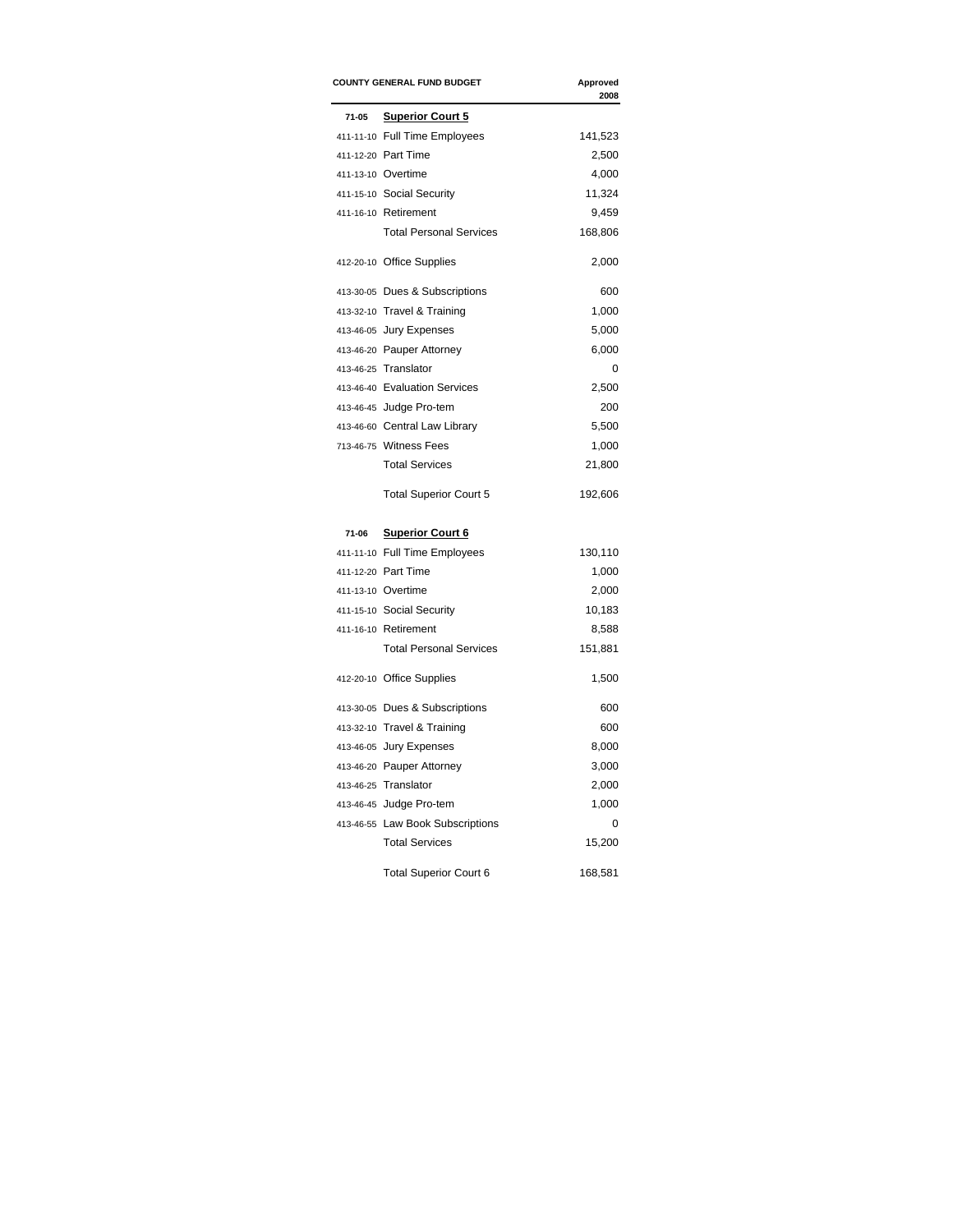|       | <b>COUNTY GENERAL FUND BUDGET</b> |          |  |
|-------|-----------------------------------|----------|--|
| 71-05 | <b>Superior Court 5</b>           |          |  |
|       | 411-11-10 Full Time Employees     | 141,523  |  |
|       | 411-12-20 Part Time               | 2,500    |  |
|       | 411-13-10 Overtime                | 4,000    |  |
|       | 411-15-10 Social Security         | 11,324   |  |
|       | 411-16-10 Retirement              | 9,459    |  |
|       | <b>Total Personal Services</b>    | 168,806  |  |
|       | 412-20-10 Office Supplies         | 2,000    |  |
|       | 413-30-05 Dues & Subscriptions    | 600      |  |
|       | 413-32-10 Travel & Training       | 1,000    |  |
|       | 413-46-05 Jury Expenses           | 5,000    |  |
|       | 413-46-20 Pauper Attorney         | 6,000    |  |
|       | 413-46-25 Translator              | 0        |  |
|       | 413-46-40 Evaluation Services     | 2,500    |  |
|       | 413-46-45 Judge Pro-tem           | 200      |  |
|       | 413-46-60 Central Law Library     | 5,500    |  |
|       | 713-46-75 Witness Fees            | 1,000    |  |
|       | <b>Total Services</b>             | 21,800   |  |
|       | <b>Total Superior Court 5</b>     | 192,606  |  |
| 71-06 | <b>Superior Court 6</b>           |          |  |
|       | 411-11-10 Full Time Employees     | 130,110  |  |
|       | 411-12-20 Part Time               | 1,000    |  |
|       | 411-13-10 Overtime                | 2,000    |  |
|       | 411-15-10 Social Security         | 10,183   |  |
|       | 411-16-10 Retirement              | 8,588    |  |
|       | <b>Total Personal Services</b>    | 151,881  |  |
|       | 412-20-10 Office Supplies         | 1,500    |  |
|       | 413-30-05 Dues & Subscriptions    | 600      |  |
|       | 413-32-10 Travel & Training       | 600      |  |
|       | 413-46-05 Jury Expenses           | 8,000    |  |
|       | 413-46-20 Pauper Attorney         | 3,000    |  |
|       | 413-46-25 Translator              | 2,000    |  |
|       | 413-46-45 Judge Pro-tem           | 1,000    |  |
|       | 413-46-55 Law Book Subscriptions  | $\Omega$ |  |
|       | <b>Total Services</b>             | 15,200   |  |
|       | <b>Total Superior Court 6</b>     | 168,581  |  |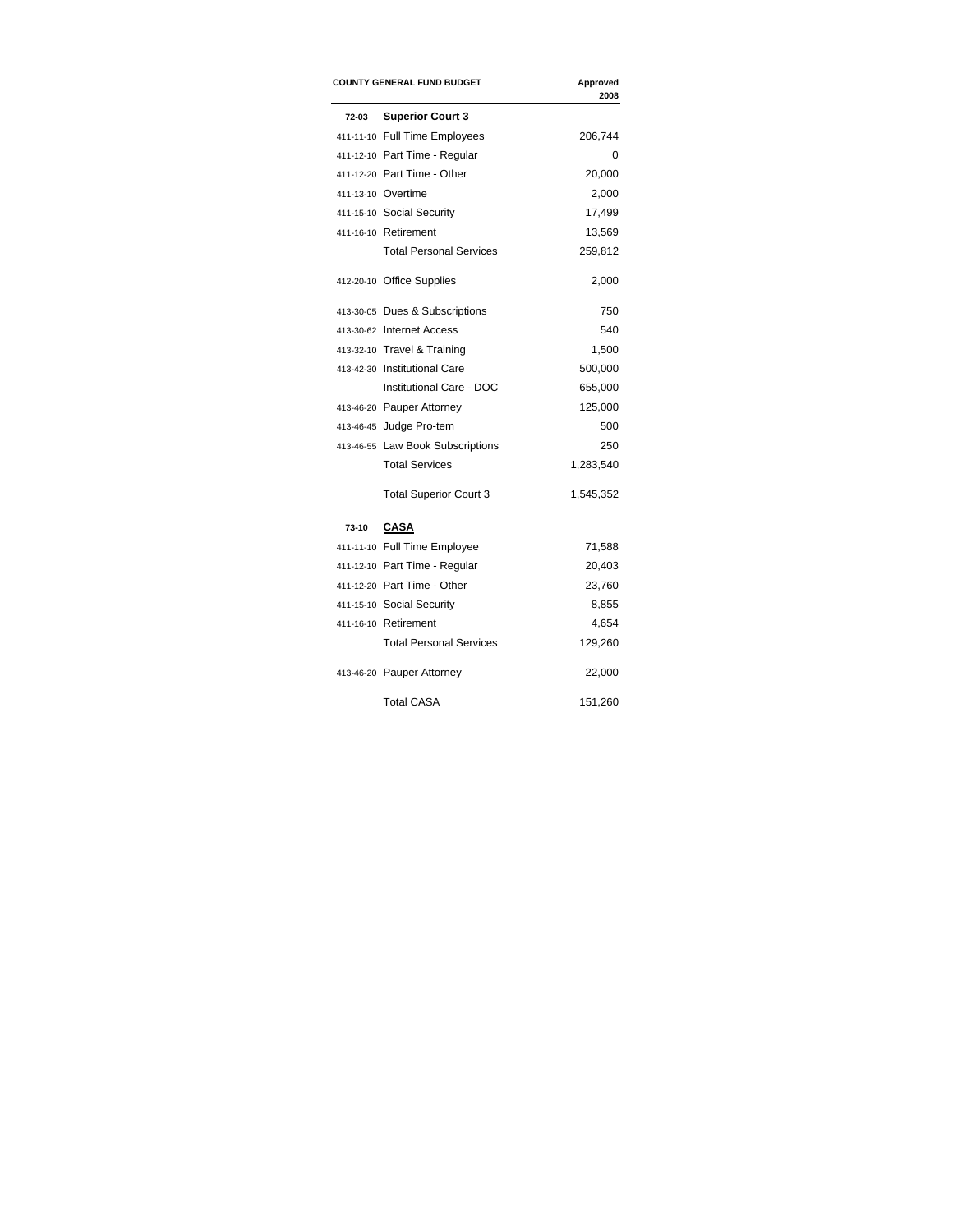|       | <b>COUNTY GENERAL FUND BUDGET</b> | Approved<br>2008 |
|-------|-----------------------------------|------------------|
| 72-03 | <b>Superior Court 3</b>           |                  |
|       | 411-11-10 Full Time Employees     | 206,744          |
|       | 411-12-10 Part Time - Regular     | 0                |
|       | 411-12-20 Part Time - Other       | 20,000           |
|       | 411-13-10 Overtime                | 2,000            |
|       | 411-15-10 Social Security         | 17,499           |
|       | 411-16-10 Retirement              | 13,569           |
|       | <b>Total Personal Services</b>    | 259,812          |
|       | 412-20-10 Office Supplies         | 2,000            |
|       | 413-30-05 Dues & Subscriptions    | 750              |
|       | 413-30-62 Internet Access         | 540              |
|       | 413-32-10 Travel & Training       | 1,500            |
|       | 413-42-30 Institutional Care      | 500,000          |
|       | Institutional Care - DOC          | 655,000          |
|       | 413-46-20 Pauper Attorney         | 125,000          |
|       | 413-46-45 Judge Pro-tem           | 500              |
|       | 413-46-55 Law Book Subscriptions  | 250              |
|       | <b>Total Services</b>             | 1,283,540        |
|       | <b>Total Superior Court 3</b>     | 1,545,352        |
| 73-10 | <b>CASA</b>                       |                  |
|       | 411-11-10 Full Time Employee      | 71,588           |
|       | 411-12-10 Part Time - Regular     | 20,403           |
|       | 411-12-20 Part Time - Other       | 23,760           |
|       | 411-15-10 Social Security         | 8,855            |
|       | 411-16-10 Retirement              | 4,654            |
|       | <b>Total Personal Services</b>    | 129,260          |
|       | 413-46-20 Pauper Attorney         | 22,000           |
|       | <b>Total CASA</b>                 | 151,260          |
|       |                                   |                  |